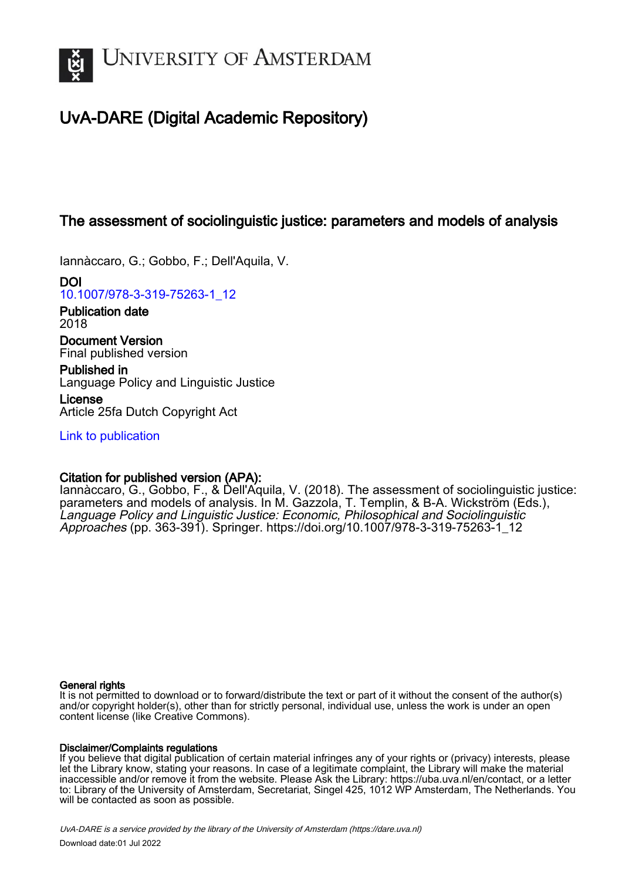

## UvA-DARE (Digital Academic Repository)

### The assessment of sociolinguistic justice: parameters and models of analysis

Iannàccaro, G.; Gobbo, F.; Dell'Aquila, V.

DOI [10.1007/978-3-319-75263-1\\_12](https://doi.org/10.1007/978-3-319-75263-1_12)

Publication date 2018

Document Version Final published version

Published in Language Policy and Linguistic Justice

License Article 25fa Dutch Copyright Act

[Link to publication](https://dare.uva.nl/personal/pure/en/publications/the-assessment-of-sociolinguistic-justice-parameters-and-models-of-analysis(3ddfd46c-a8be-430e-bac1-8202d295cefa).html)

#### Citation for published version (APA):

Iannàccaro, G., Gobbo, F., & Dell'Aquila, V. (2018). The assessment of sociolinguistic justice: parameters and models of analysis. In M. Gazzola, T. Templin, & B-A. Wickström (Eds.), Language Policy and Linguistic Justice: Economic, Philosophical and Sociolinguistic Approaches (pp. 363-391). Springer. [https://doi.org/10.1007/978-3-319-75263-1\\_12](https://doi.org/10.1007/978-3-319-75263-1_12)

#### General rights

It is not permitted to download or to forward/distribute the text or part of it without the consent of the author(s) and/or copyright holder(s), other than for strictly personal, individual use, unless the work is under an open content license (like Creative Commons).

#### Disclaimer/Complaints regulations

If you believe that digital publication of certain material infringes any of your rights or (privacy) interests, please let the Library know, stating your reasons. In case of a legitimate complaint, the Library will make the material inaccessible and/or remove it from the website. Please Ask the Library: https://uba.uva.nl/en/contact, or a letter to: Library of the University of Amsterdam, Secretariat, Singel 425, 1012 WP Amsterdam, The Netherlands. You will be contacted as soon as possible.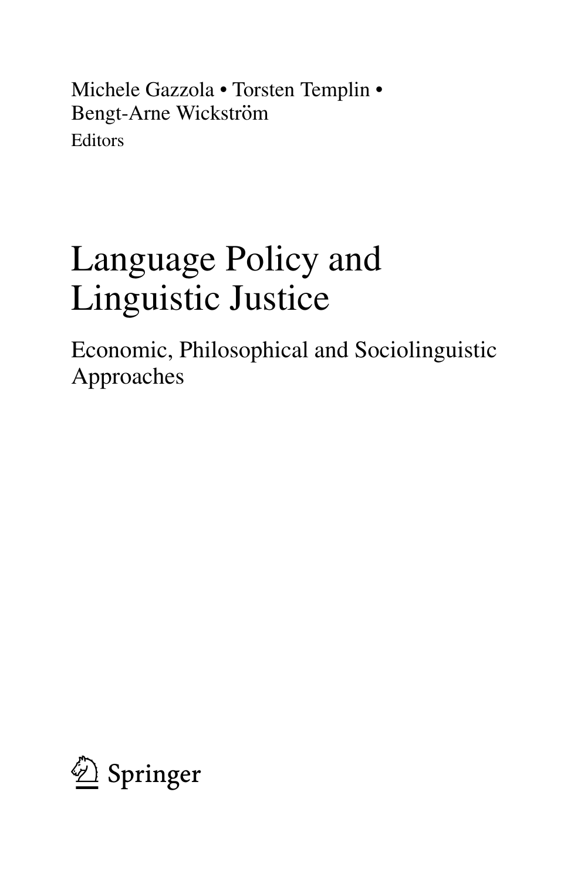Michele Gazzola • Torsten Templin • Bengt-Arne Wickström Editors

# Language Policy and Linguistic Justice

Economic, Philosophical and Sociolinguistic Approaches

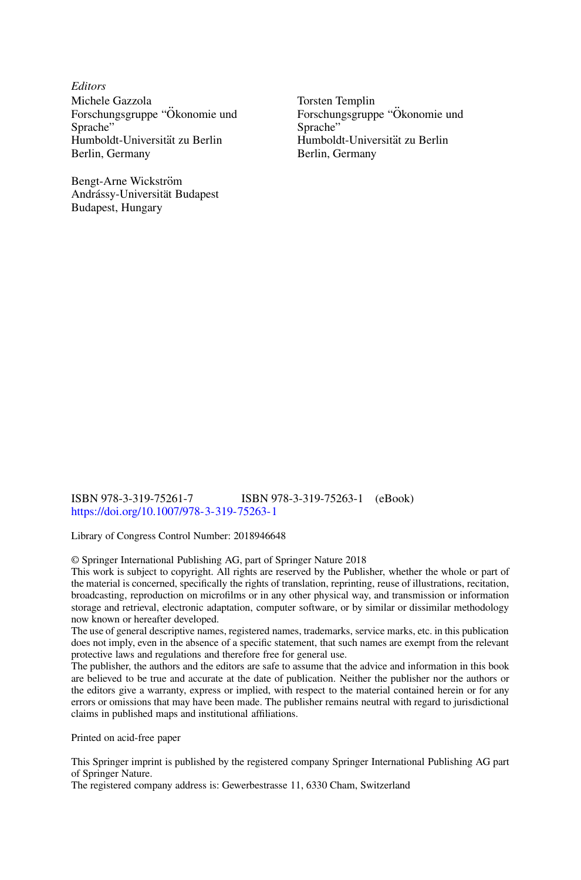*Editors* Michele Gazzola Forschungsgruppe "Ökonomie und Sprache" Humboldt-Universität zu Berlin Berlin, Germany

Bengt-Arne Wickström Andrássy-Universität Budapest Budapest, Hungary

Torsten Templin Forschungsgruppe "Ökonomie und Sprache" Humboldt-Universitat zu Berlin ¨ Berlin, Germany

ISBN 978-3-319-75261-7 ISBN 978-3-319-75263-1 (eBook) <https://doi.org/10.1007/978-3-319-75263-1>

Library of Congress Control Number: 2018946648

© Springer International Publishing AG, part of Springer Nature 2018

This work is subject to copyright. All rights are reserved by the Publisher, whether the whole or part of the material is concerned, specifically the rights of translation, reprinting, reuse of illustrations, recitation, broadcasting, reproduction on microfilms or in any other physical way, and transmission or information storage and retrieval, electronic adaptation, computer software, or by similar or dissimilar methodology now known or hereafter developed.

The use of general descriptive names, registered names, trademarks, service marks, etc. in this publication does not imply, even in the absence of a specific statement, that such names are exempt from the relevant protective laws and regulations and therefore free for general use.

The publisher, the authors and the editors are safe to assume that the advice and information in this book are believed to be true and accurate at the date of publication. Neither the publisher nor the authors or the editors give a warranty, express or implied, with respect to the material contained herein or for any errors or omissions that may have been made. The publisher remains neutral with regard to jurisdictional claims in published maps and institutional affiliations.

Printed on acid-free paper

This Springer imprint is published by the registered company Springer International Publishing AG part of Springer Nature.

The registered company address is: Gewerbestrasse 11, 6330 Cham, Switzerland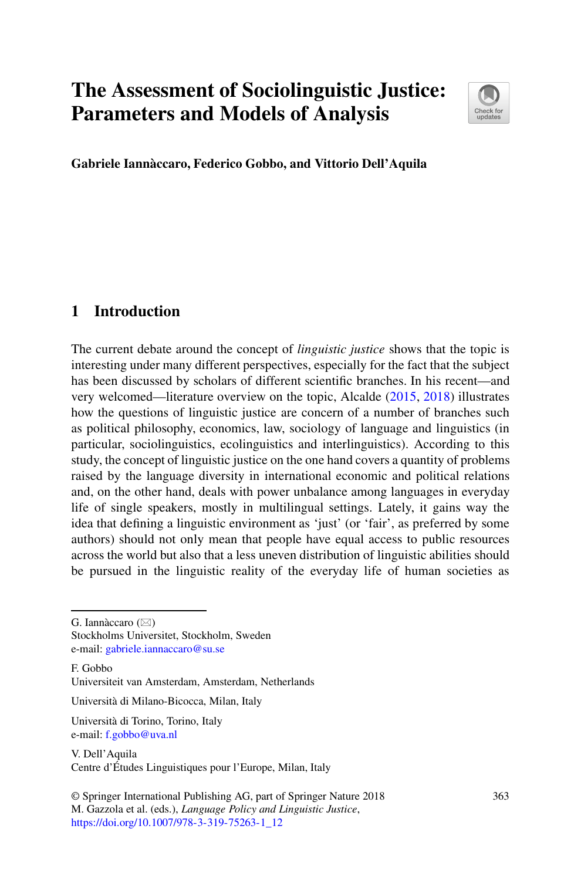## **The Assessment of Sociolinguistic Justice: Parameters and Models of Analysis**



**Gabriele Iannàccaro, Federico Gobbo, and Vittorio Dell'Aquila**

#### **1 Introduction**

The current debate around the concept of *linguistic justice* shows that the topic is interesting under many different perspectives, especially for the fact that the subject has been discussed by scholars of different scientific branches. In his recent—and very welcomed—literature overview on the topic, Alcalde (2015, 2018) illustrates how the questions of linguistic justice are concern of a number of branches such as political philosophy, economics, law, sociology of language and linguistics (in particular, sociolinguistics, ecolinguistics and interlinguistics). According to this study, the concept of linguistic justice on the one hand covers a quantity of problems raised by the language diversity in international economic and political relations and, on the other hand, deals with power unbalance among languages in everyday life of single speakers, mostly in multilingual settings. Lately, it gains way the idea that defining a linguistic environment as 'just' (or 'fair', as preferred by some authors) should not only mean that people have equal access to public resources across the world but also that a less uneven distribution of linguistic abilities should be pursued in the linguistic reality of the everyday life of human societies as

G. Iannàccaro  $(\boxtimes)$ 

Stockholms Universitet, Stockholm, Sweden e-mail: [gabriele.iannaccaro@su.se](mailto:gabriele.iannaccaro@su.se)

F. Gobbo Universiteit van Amsterdam, Amsterdam, Netherlands

Università di Milano-Bicocca, Milan, Italy

Università di Torino, Torino, Italy e-mail: [f.gobbo@uva.nl](mailto:f.gobbo@uva.nl)

V. Dell'Aquila Centre d'Études Linguistiques pour l'Europe, Milan, Italy

<sup>©</sup> Springer International Publishing AG, part of Springer Nature 2018 M. Gazzola et al. (eds.), *Language Policy and Linguistic Justice*, [https://doi.org/10.1007/978-3-319-75263-1\\_12](https://doi.org/10.1007/978-3-319-75263-1_12)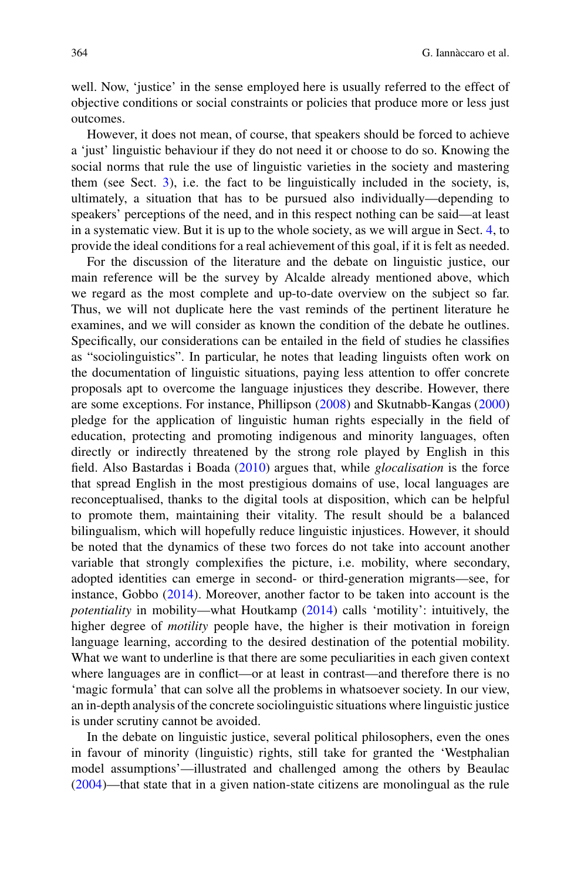well. Now, 'justice' in the sense employed here is usually referred to the effect of objective conditions or social constraints or policies that produce more or less just outcomes.

However, it does not mean, of course, that speakers should be forced to achieve a 'just' linguistic behaviour if they do not need it or choose to do so. Knowing the social norms that rule the use of linguistic varieties in the society and mastering them (see Sect. 3), i.e. the fact to be linguistically included in the society, is, ultimately, a situation that has to be pursued also individually—depending to speakers' perceptions of the need, and in this respect nothing can be said—at least in a systematic view. But it is up to the whole society, as we will argue in Sect. 4, to provide the ideal conditions for a real achievement of this goal, if it is felt as needed.

For the discussion of the literature and the debate on linguistic justice, our main reference will be the survey by Alcalde already mentioned above, which we regard as the most complete and up-to-date overview on the subject so far. Thus, we will not duplicate here the vast reminds of the pertinent literature he examines, and we will consider as known the condition of the debate he outlines. Specifically, our considerations can be entailed in the field of studies he classifies as "sociolinguistics". In particular, he notes that leading linguists often work on the documentation of linguistic situations, paying less attention to offer concrete proposals apt to overcome the language injustices they describe. However, there are some exceptions. For instance, Phillipson (2008) and Skutnabb-Kangas (2000) pledge for the application of linguistic human rights especially in the field of education, protecting and promoting indigenous and minority languages, often directly or indirectly threatened by the strong role played by English in this field. Also Bastardas i Boada (2010) argues that, while *glocalisation* is the force that spread English in the most prestigious domains of use, local languages are reconceptualised, thanks to the digital tools at disposition, which can be helpful to promote them, maintaining their vitality. The result should be a balanced bilingualism, which will hopefully reduce linguistic injustices. However, it should be noted that the dynamics of these two forces do not take into account another variable that strongly complexifies the picture, i.e. mobility, where secondary, adopted identities can emerge in second- or third-generation migrants—see, for instance, Gobbo (2014). Moreover, another factor to be taken into account is the *potentiality* in mobility—what Houtkamp (2014) calls 'motility': intuitively, the higher degree of *motility* people have, the higher is their motivation in foreign language learning, according to the desired destination of the potential mobility. What we want to underline is that there are some peculiarities in each given context where languages are in conflict—or at least in contrast—and therefore there is no 'magic formula' that can solve all the problems in whatsoever society. In our view, an in-depth analysis of the concrete sociolinguistic situations where linguistic justice is under scrutiny cannot be avoided.

In the debate on linguistic justice, several political philosophers, even the ones in favour of minority (linguistic) rights, still take for granted the 'Westphalian model assumptions'—illustrated and challenged among the others by Beaulac (2004)—that state that in a given nation-state citizens are monolingual as the rule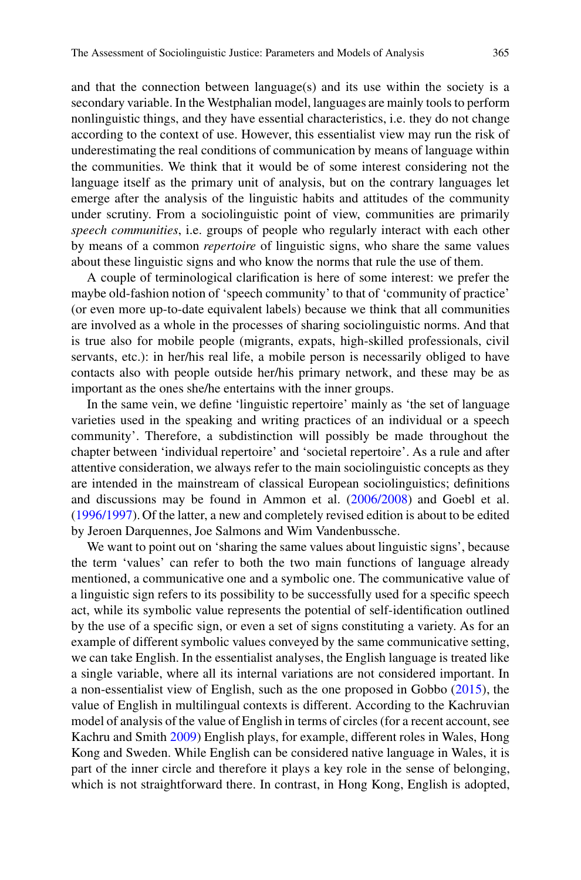and that the connection between language(s) and its use within the society is a secondary variable. In the Westphalian model, languages are mainly tools to perform nonlinguistic things, and they have essential characteristics, i.e. they do not change according to the context of use. However, this essentialist view may run the risk of underestimating the real conditions of communication by means of language within the communities. We think that it would be of some interest considering not the language itself as the primary unit of analysis, but on the contrary languages let emerge after the analysis of the linguistic habits and attitudes of the community under scrutiny. From a sociolinguistic point of view, communities are primarily *speech communities*, i.e. groups of people who regularly interact with each other by means of a common *repertoire* of linguistic signs, who share the same values about these linguistic signs and who know the norms that rule the use of them.

A couple of terminological clarification is here of some interest: we prefer the maybe old-fashion notion of 'speech community' to that of 'community of practice' (or even more up-to-date equivalent labels) because we think that all communities are involved as a whole in the processes of sharing sociolinguistic norms. And that is true also for mobile people (migrants, expats, high-skilled professionals, civil servants, etc.): in her/his real life, a mobile person is necessarily obliged to have contacts also with people outside her/his primary network, and these may be as important as the ones she/he entertains with the inner groups.

In the same vein, we define 'linguistic repertoire' mainly as 'the set of language varieties used in the speaking and writing practices of an individual or a speech community'. Therefore, a subdistinction will possibly be made throughout the chapter between 'individual repertoire' and 'societal repertoire'. As a rule and after attentive consideration, we always refer to the main sociolinguistic concepts as they are intended in the mainstream of classical European sociolinguistics; definitions and discussions may be found in Ammon et al. (2006/2008) and Goebl et al. (1996/1997). Of the latter, a new and completely revised edition is about to be edited by Jeroen Darquennes, Joe Salmons and Wim Vandenbussche.

We want to point out on 'sharing the same values about linguistic signs', because the term 'values' can refer to both the two main functions of language already mentioned, a communicative one and a symbolic one. The communicative value of a linguistic sign refers to its possibility to be successfully used for a specific speech act, while its symbolic value represents the potential of self-identification outlined by the use of a specific sign, or even a set of signs constituting a variety. As for an example of different symbolic values conveyed by the same communicative setting, we can take English. In the essentialist analyses, the English language is treated like a single variable, where all its internal variations are not considered important. In a non-essentialist view of English, such as the one proposed in Gobbo (2015), the value of English in multilingual contexts is different. According to the Kachruvian model of analysis of the value of English in terms of circles (for a recent account, see Kachru and Smith 2009) English plays, for example, different roles in Wales, Hong Kong and Sweden. While English can be considered native language in Wales, it is part of the inner circle and therefore it plays a key role in the sense of belonging, which is not straightforward there. In contrast, in Hong Kong, English is adopted,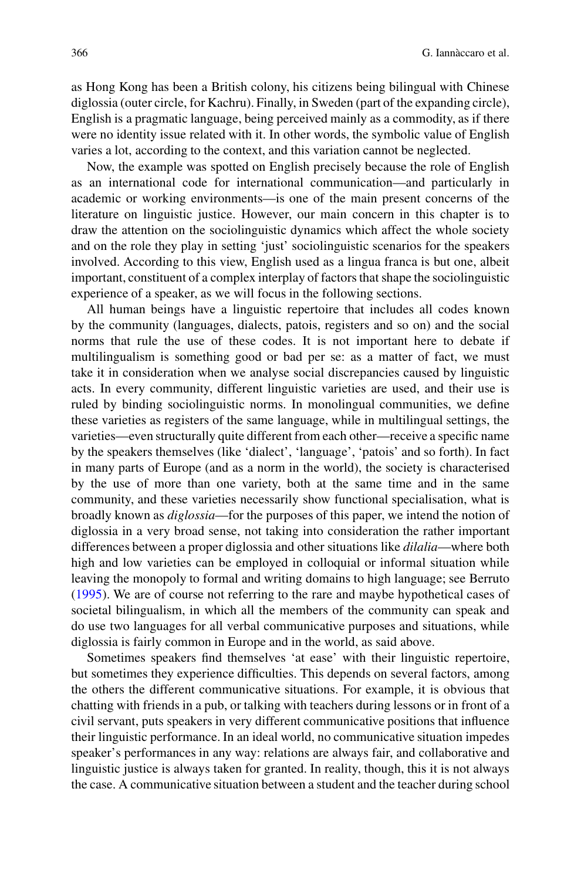as Hong Kong has been a British colony, his citizens being bilingual with Chinese diglossia (outer circle, for Kachru). Finally, in Sweden (part of the expanding circle), English is a pragmatic language, being perceived mainly as a commodity, as if there were no identity issue related with it. In other words, the symbolic value of English varies a lot, according to the context, and this variation cannot be neglected.

Now, the example was spotted on English precisely because the role of English as an international code for international communication—and particularly in academic or working environments—is one of the main present concerns of the literature on linguistic justice. However, our main concern in this chapter is to draw the attention on the sociolinguistic dynamics which affect the whole society and on the role they play in setting 'just' sociolinguistic scenarios for the speakers involved. According to this view, English used as a lingua franca is but one, albeit important, constituent of a complex interplay of factors that shape the sociolinguistic experience of a speaker, as we will focus in the following sections.

All human beings have a linguistic repertoire that includes all codes known by the community (languages, dialects, patois, registers and so on) and the social norms that rule the use of these codes. It is not important here to debate if multilingualism is something good or bad per se: as a matter of fact, we must take it in consideration when we analyse social discrepancies caused by linguistic acts. In every community, different linguistic varieties are used, and their use is ruled by binding sociolinguistic norms. In monolingual communities, we define these varieties as registers of the same language, while in multilingual settings, the varieties—even structurally quite different from each other—receive a specific name by the speakers themselves (like 'dialect', 'language', 'patois' and so forth). In fact in many parts of Europe (and as a norm in the world), the society is characterised by the use of more than one variety, both at the same time and in the same community, and these varieties necessarily show functional specialisation, what is broadly known as *diglossia*—for the purposes of this paper, we intend the notion of diglossia in a very broad sense, not taking into consideration the rather important differences between a proper diglossia and other situations like *dilalia*—where both high and low varieties can be employed in colloquial or informal situation while leaving the monopoly to formal and writing domains to high language; see Berruto (1995). We are of course not referring to the rare and maybe hypothetical cases of societal bilingualism, in which all the members of the community can speak and do use two languages for all verbal communicative purposes and situations, while diglossia is fairly common in Europe and in the world, as said above.

Sometimes speakers find themselves 'at ease' with their linguistic repertoire, but sometimes they experience difficulties. This depends on several factors, among the others the different communicative situations. For example, it is obvious that chatting with friends in a pub, or talking with teachers during lessons or in front of a civil servant, puts speakers in very different communicative positions that influence their linguistic performance. In an ideal world, no communicative situation impedes speaker's performances in any way: relations are always fair, and collaborative and linguistic justice is always taken for granted. In reality, though, this it is not always the case. A communicative situation between a student and the teacher during school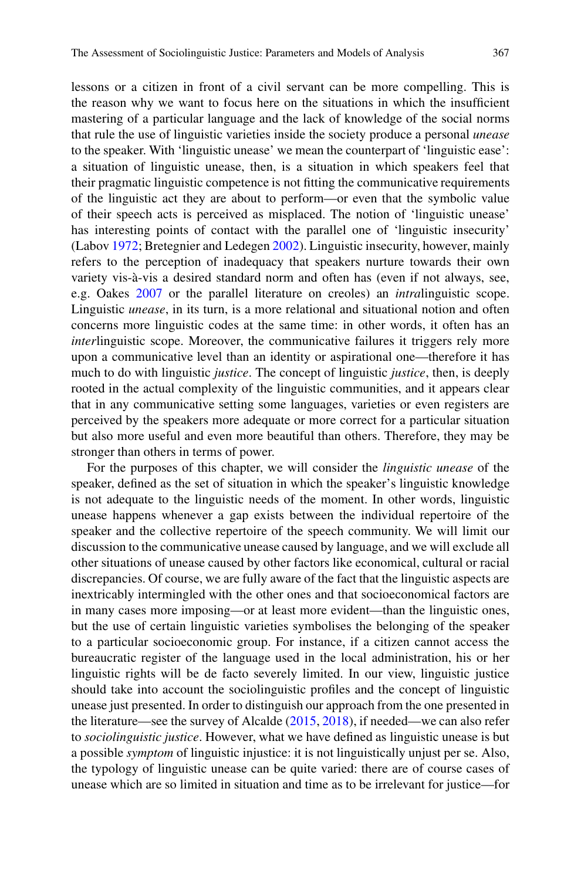lessons or a citizen in front of a civil servant can be more compelling. This is the reason why we want to focus here on the situations in which the insufficient mastering of a particular language and the lack of knowledge of the social norms that rule the use of linguistic varieties inside the society produce a personal *unease* to the speaker. With 'linguistic unease' we mean the counterpart of 'linguistic ease': a situation of linguistic unease, then, is a situation in which speakers feel that their pragmatic linguistic competence is not fitting the communicative requirements of the linguistic act they are about to perform—or even that the symbolic value of their speech acts is perceived as misplaced. The notion of 'linguistic unease' has interesting points of contact with the parallel one of 'linguistic insecurity' (Labov 1972; Bretegnier and Ledegen 2002). Linguistic insecurity, however, mainly refers to the perception of inadequacy that speakers nurture towards their own variety vis-à-vis a desired standard norm and often has (even if not always, see, e.g. Oakes 2007 or the parallel literature on creoles) an *intra*linguistic scope. Linguistic *unease*, in its turn, is a more relational and situational notion and often concerns more linguistic codes at the same time: in other words, it often has an *inter*linguistic scope. Moreover, the communicative failures it triggers rely more upon a communicative level than an identity or aspirational one—therefore it has much to do with linguistic *justice*. The concept of linguistic *justice*, then, is deeply rooted in the actual complexity of the linguistic communities, and it appears clear that in any communicative setting some languages, varieties or even registers are perceived by the speakers more adequate or more correct for a particular situation but also more useful and even more beautiful than others. Therefore, they may be stronger than others in terms of power.

For the purposes of this chapter, we will consider the *linguistic unease* of the speaker, defined as the set of situation in which the speaker's linguistic knowledge is not adequate to the linguistic needs of the moment. In other words, linguistic unease happens whenever a gap exists between the individual repertoire of the speaker and the collective repertoire of the speech community. We will limit our discussion to the communicative unease caused by language, and we will exclude all other situations of unease caused by other factors like economical, cultural or racial discrepancies. Of course, we are fully aware of the fact that the linguistic aspects are inextricably intermingled with the other ones and that socioeconomical factors are in many cases more imposing—or at least more evident—than the linguistic ones, but the use of certain linguistic varieties symbolises the belonging of the speaker to a particular socioeconomic group. For instance, if a citizen cannot access the bureaucratic register of the language used in the local administration, his or her linguistic rights will be de facto severely limited. In our view, linguistic justice should take into account the sociolinguistic profiles and the concept of linguistic unease just presented. In order to distinguish our approach from the one presented in the literature—see the survey of Alcalde (2015, 2018), if needed—we can also refer to *sociolinguistic justice*. However, what we have defined as linguistic unease is but a possible *symptom* of linguistic injustice: it is not linguistically unjust per se. Also, the typology of linguistic unease can be quite varied: there are of course cases of unease which are so limited in situation and time as to be irrelevant for justice—for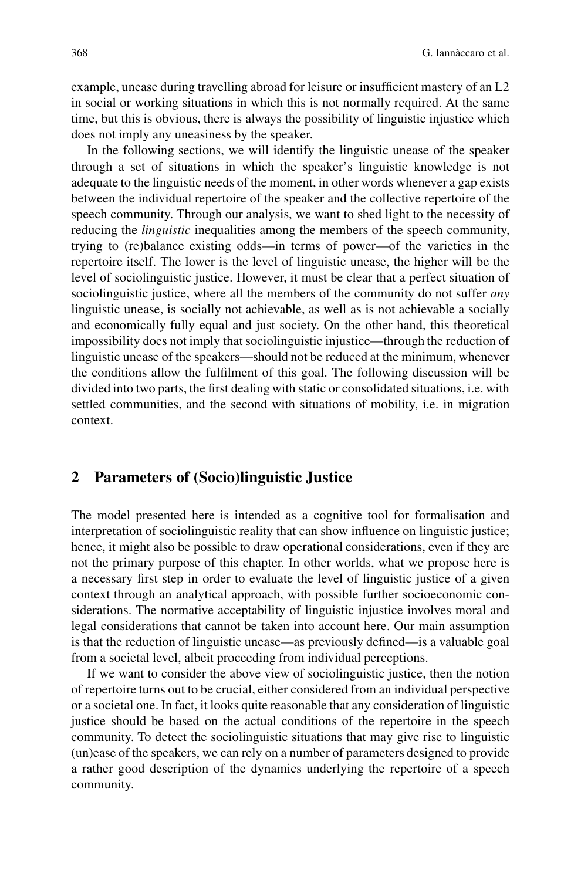example, unease during travelling abroad for leisure or insufficient mastery of an L2 in social or working situations in which this is not normally required. At the same time, but this is obvious, there is always the possibility of linguistic injustice which does not imply any uneasiness by the speaker.

In the following sections, we will identify the linguistic unease of the speaker through a set of situations in which the speaker's linguistic knowledge is not adequate to the linguistic needs of the moment, in other words whenever a gap exists between the individual repertoire of the speaker and the collective repertoire of the speech community. Through our analysis, we want to shed light to the necessity of reducing the *linguistic* inequalities among the members of the speech community, trying to (re)balance existing odds—in terms of power—of the varieties in the repertoire itself. The lower is the level of linguistic unease, the higher will be the level of sociolinguistic justice. However, it must be clear that a perfect situation of sociolinguistic justice, where all the members of the community do not suffer *any* linguistic unease, is socially not achievable, as well as is not achievable a socially and economically fully equal and just society. On the other hand, this theoretical impossibility does not imply that sociolinguistic injustice—through the reduction of linguistic unease of the speakers—should not be reduced at the minimum, whenever the conditions allow the fulfilment of this goal. The following discussion will be divided into two parts, the first dealing with static or consolidated situations, i.e. with settled communities, and the second with situations of mobility, i.e. in migration context.

#### **2 Parameters of (Socio)linguistic Justice**

The model presented here is intended as a cognitive tool for formalisation and interpretation of sociolinguistic reality that can show influence on linguistic justice; hence, it might also be possible to draw operational considerations, even if they are not the primary purpose of this chapter. In other worlds, what we propose here is a necessary first step in order to evaluate the level of linguistic justice of a given context through an analytical approach, with possible further socioeconomic considerations. The normative acceptability of linguistic injustice involves moral and legal considerations that cannot be taken into account here. Our main assumption is that the reduction of linguistic unease—as previously defined—is a valuable goal from a societal level, albeit proceeding from individual perceptions.

If we want to consider the above view of sociolinguistic justice, then the notion of repertoire turns out to be crucial, either considered from an individual perspective or a societal one. In fact, it looks quite reasonable that any consideration of linguistic justice should be based on the actual conditions of the repertoire in the speech community. To detect the sociolinguistic situations that may give rise to linguistic (un)ease of the speakers, we can rely on a number of parameters designed to provide a rather good description of the dynamics underlying the repertoire of a speech community.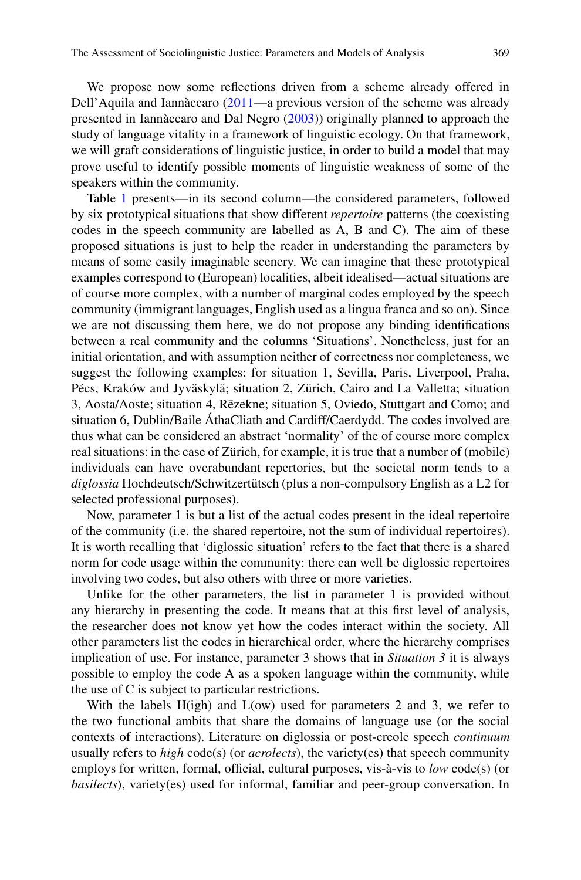We propose now some reflections driven from a scheme already offered in Dell'Aquila and Iannàccaro (2011—a previous version of the scheme was already presented in Iannàccaro and Dal Negro (2003)) originally planned to approach the study of language vitality in a framework of linguistic ecology. On that framework, we will graft considerations of linguistic justice, in order to build a model that may prove useful to identify possible moments of linguistic weakness of some of the speakers within the community.

Table 1 presents—in its second column—the considered parameters, followed by six prototypical situations that show different *repertoire* patterns (the coexisting codes in the speech community are labelled as A, B and C). The aim of these proposed situations is just to help the reader in understanding the parameters by means of some easily imaginable scenery. We can imagine that these prototypical examples correspond to (European) localities, albeit idealised—actual situations are of course more complex, with a number of marginal codes employed by the speech community (immigrant languages, English used as a lingua franca and so on). Since we are not discussing them here, we do not propose any binding identifications between a real community and the columns 'Situations'. Nonetheless, just for an initial orientation, and with assumption neither of correctness nor completeness, we suggest the following examples: for situation 1, Sevilla, Paris, Liverpool, Praha, Pécs, Kraków and Jyväskylä; situation 2, Zürich, Cairo and La Valletta; situation 3, Aosta/Aoste; situation 4, Rezekne; situation 5, Oviedo, Stuttgart and Como; and ¯ situation 6, Dublin/Baile ÁthaCliath and Cardiff/Caerdydd. The codes involved are thus what can be considered an abstract 'normality' of the of course more complex real situations: in the case of Zürich, for example, it is true that a number of (mobile) individuals can have overabundant repertories, but the societal norm tends to a *diglossia* Hochdeutsch/Schwitzertütsch (plus a non-compulsory English as a L2 for selected professional purposes).

Now, parameter 1 is but a list of the actual codes present in the ideal repertoire of the community (i.e. the shared repertoire, not the sum of individual repertoires). It is worth recalling that 'diglossic situation' refers to the fact that there is a shared norm for code usage within the community: there can well be diglossic repertoires involving two codes, but also others with three or more varieties.

Unlike for the other parameters, the list in parameter 1 is provided without any hierarchy in presenting the code. It means that at this first level of analysis, the researcher does not know yet how the codes interact within the society. All other parameters list the codes in hierarchical order, where the hierarchy comprises implication of use. For instance, parameter 3 shows that in *Situation 3* it is always possible to employ the code A as a spoken language within the community, while the use of C is subject to particular restrictions.

With the labels H(igh) and L(ow) used for parameters 2 and 3, we refer to the two functional ambits that share the domains of language use (or the social contexts of interactions). Literature on diglossia or post-creole speech *continuum* usually refers to *high* code(s) (or *acrolects*), the variety(es) that speech community employs for written, formal, official, cultural purposes, vis-à-vis to *low* code(s) (or *basilects*), variety(es) used for informal, familiar and peer-group conversation. In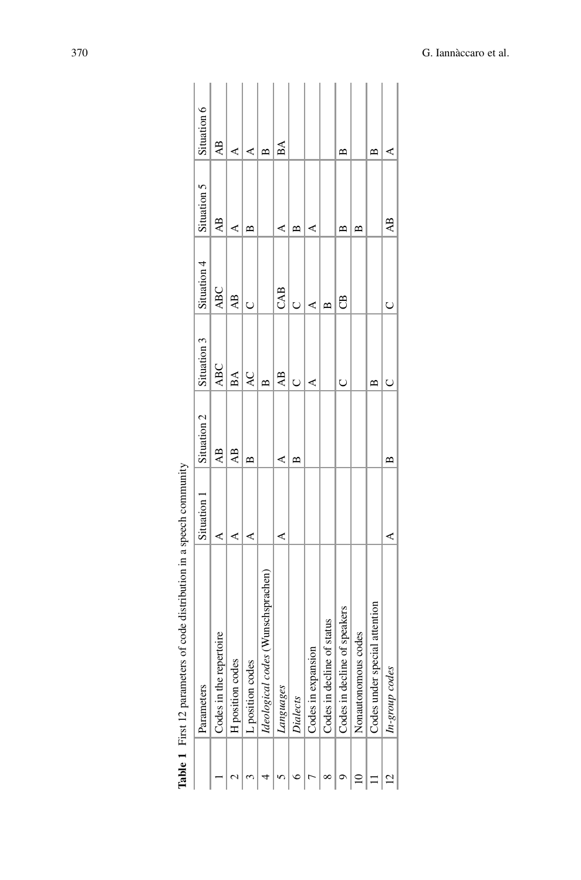|                | Table 1 First 12 parameters of code distribution in a speech community |             |                 |                 |                 |                 |                         |
|----------------|------------------------------------------------------------------------|-------------|-----------------|-----------------|-----------------|-----------------|-------------------------|
|                | Parameters                                                             | Situation 1 | Situation 2     | Situation 3     | Situation 4     | Situation 5     | Situation 6             |
|                | Codes in the repertoire                                                | ⋖           | $\overline{48}$ | ABC             | ABC             | $\overline{48}$ | $\overline{AB}$         |
|                | H position codes                                                       | ⋖           | $\overline{AB}$ | BA              | $\overline{AB}$ | ረ               | ⋖                       |
|                | L position codes                                                       | ⋖           | $\mathbf{a}$    | $\overline{AC}$ | Ő               | ≏               | ⋖                       |
|                | Ideological codes (Wunschsprachen)                                     |             |                 | $\mathbf{a}$    |                 |                 | $\overline{\mathbf{c}}$ |
|                | Languages                                                              | ⋖           | ⋖               | AB              | CAB             | ⋖               | BÁ                      |
|                | Dialects                                                               |             | $\mathbf{a}$    | Ò               |                 | ≃               |                         |
|                | Codes in expansion                                                     |             |                 | ⋖               | ⋖               | ⋖               |                         |
|                | Codes in decline of status                                             |             |                 |                 | ≃               |                 |                         |
|                | Codes in decline of speakers                                           |             |                 | ပ               | පී              | ≃               | ≃                       |
|                | Nonautonomous codes                                                    |             |                 |                 |                 | $\mathbf{z}$    |                         |
|                | Codes under special attention                                          |             |                 | ≏               |                 |                 | ≏                       |
| $\overline{c}$ | $\mid$ In-group codes                                                  | ⋖           | ≏               | ပ               | Ò               | $\overline{AB}$ | ⋖                       |
|                |                                                                        |             |                 |                 |                 |                 |                         |

| `<br>ا |  |
|--------|--|
| j      |  |
|        |  |
|        |  |
|        |  |
| i<br>l |  |
|        |  |
| j      |  |
| ı      |  |
| l      |  |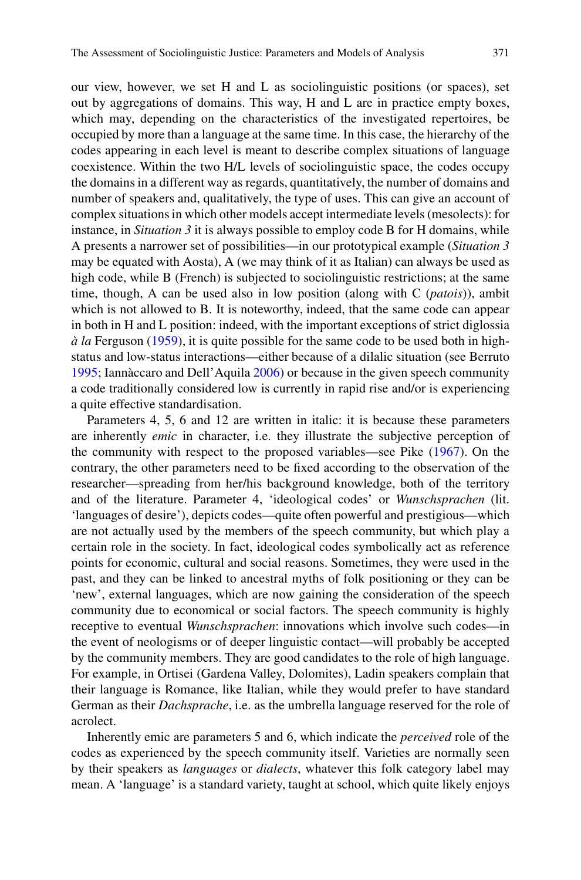our view, however, we set H and L as sociolinguistic positions (or spaces), set out by aggregations of domains. This way, H and L are in practice empty boxes, which may, depending on the characteristics of the investigated repertoires, be occupied by more than a language at the same time. In this case, the hierarchy of the codes appearing in each level is meant to describe complex situations of language coexistence. Within the two H/L levels of sociolinguistic space, the codes occupy the domains in a different way as regards, quantitatively, the number of domains and number of speakers and, qualitatively, the type of uses. This can give an account of complex situations in which other models accept intermediate levels (mesolects): for instance, in *Situation 3* it is always possible to employ code B for H domains, while A presents a narrower set of possibilities—in our prototypical example (*Situation 3* may be equated with Aosta), A (we may think of it as Italian) can always be used as high code, while B (French) is subjected to sociolinguistic restrictions; at the same time, though, A can be used also in low position (along with C (*patois*)), ambit which is not allowed to B. It is noteworthy, indeed, that the same code can appear in both in H and L position: indeed, with the important exceptions of strict diglossia *à la* Ferguson (1959), it is quite possible for the same code to be used both in highstatus and low-status interactions—either because of a dilalic situation (see Berruto 1995; Iannàccaro and Dell'Aquila 2006) or because in the given speech community a code traditionally considered low is currently in rapid rise and/or is experiencing a quite effective standardisation.

Parameters 4, 5, 6 and 12 are written in italic: it is because these parameters are inherently *emic* in character, i.e. they illustrate the subjective perception of the community with respect to the proposed variables—see Pike (1967). On the contrary, the other parameters need to be fixed according to the observation of the researcher—spreading from her/his background knowledge, both of the territory and of the literature. Parameter 4, 'ideological codes' or *Wunschsprachen* (lit. 'languages of desire'), depicts codes—quite often powerful and prestigious—which are not actually used by the members of the speech community, but which play a certain role in the society. In fact, ideological codes symbolically act as reference points for economic, cultural and social reasons. Sometimes, they were used in the past, and they can be linked to ancestral myths of folk positioning or they can be 'new', external languages, which are now gaining the consideration of the speech community due to economical or social factors. The speech community is highly receptive to eventual *Wunschsprachen*: innovations which involve such codes—in the event of neologisms or of deeper linguistic contact—will probably be accepted by the community members. They are good candidates to the role of high language. For example, in Ortisei (Gardena Valley, Dolomites), Ladin speakers complain that their language is Romance, like Italian, while they would prefer to have standard German as their *Dachsprache*, i.e. as the umbrella language reserved for the role of acrolect.

Inherently emic are parameters 5 and 6, which indicate the *perceived* role of the codes as experienced by the speech community itself. Varieties are normally seen by their speakers as *languages* or *dialects*, whatever this folk category label may mean. A 'language' is a standard variety, taught at school, which quite likely enjoys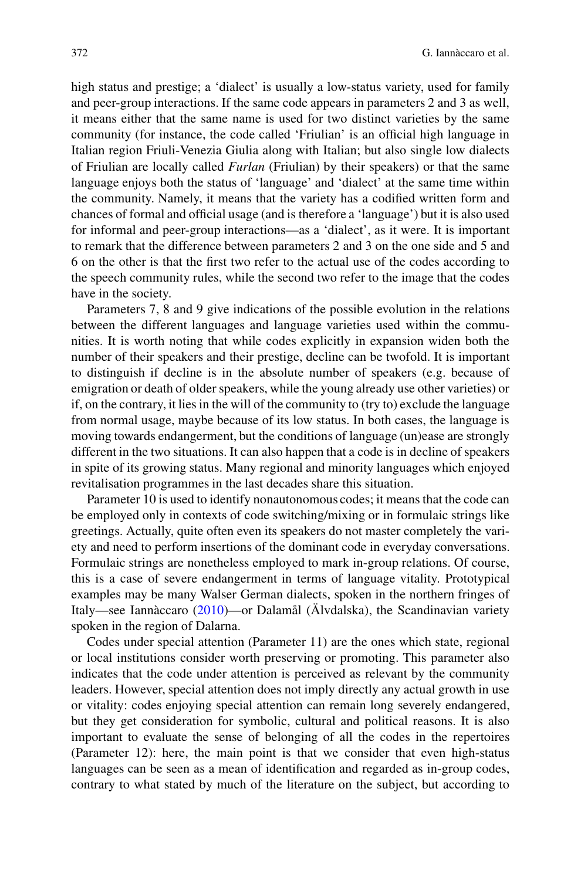high status and prestige; a 'dialect' is usually a low-status variety, used for family and peer-group interactions. If the same code appears in parameters 2 and 3 as well, it means either that the same name is used for two distinct varieties by the same community (for instance, the code called 'Friulian' is an official high language in Italian region Friuli-Venezia Giulia along with Italian; but also single low dialects of Friulian are locally called *Furlan* (Friulian) by their speakers) or that the same language enjoys both the status of 'language' and 'dialect' at the same time within the community. Namely, it means that the variety has a codified written form and chances of formal and official usage (and is therefore a 'language') but it is also used for informal and peer-group interactions—as a 'dialect', as it were. It is important to remark that the difference between parameters 2 and 3 on the one side and 5 and 6 on the other is that the first two refer to the actual use of the codes according to the speech community rules, while the second two refer to the image that the codes have in the society.

Parameters 7, 8 and 9 give indications of the possible evolution in the relations between the different languages and language varieties used within the communities. It is worth noting that while codes explicitly in expansion widen both the number of their speakers and their prestige, decline can be twofold. It is important to distinguish if decline is in the absolute number of speakers (e.g. because of emigration or death of older speakers, while the young already use other varieties) or if, on the contrary, it lies in the will of the community to (try to) exclude the language from normal usage, maybe because of its low status. In both cases, the language is moving towards endangerment, but the conditions of language (un)ease are strongly different in the two situations. It can also happen that a code is in decline of speakers in spite of its growing status. Many regional and minority languages which enjoyed revitalisation programmes in the last decades share this situation.

Parameter 10 is used to identify nonautonomous codes; it means that the code can be employed only in contexts of code switching/mixing or in formulaic strings like greetings. Actually, quite often even its speakers do not master completely the variety and need to perform insertions of the dominant code in everyday conversations. Formulaic strings are nonetheless employed to mark in-group relations. Of course, this is a case of severe endangerment in terms of language vitality. Prototypical examples may be many Walser German dialects, spoken in the northern fringes of Italy—see Iannàccaro (2010)—or Dalamål (Älvdalska), the Scandinavian variety spoken in the region of Dalarna.

Codes under special attention (Parameter 11) are the ones which state, regional or local institutions consider worth preserving or promoting. This parameter also indicates that the code under attention is perceived as relevant by the community leaders. However, special attention does not imply directly any actual growth in use or vitality: codes enjoying special attention can remain long severely endangered, but they get consideration for symbolic, cultural and political reasons. It is also important to evaluate the sense of belonging of all the codes in the repertoires (Parameter 12): here, the main point is that we consider that even high-status languages can be seen as a mean of identification and regarded as in-group codes, contrary to what stated by much of the literature on the subject, but according to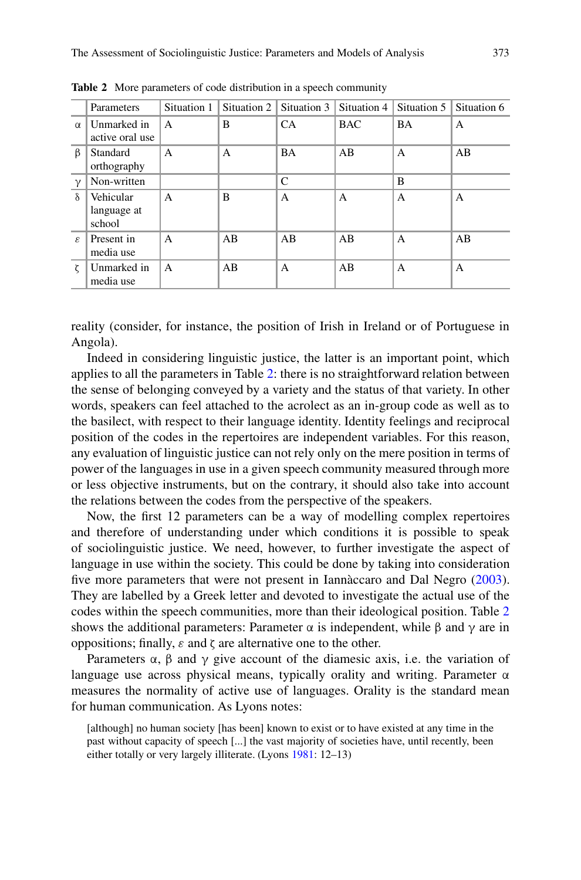|               | Parameters                         | Situation 1  | Situation 2    | Situation 3 | Situation 4 | Situation 5 | Situation 6  |
|---------------|------------------------------------|--------------|----------------|-------------|-------------|-------------|--------------|
| $\alpha$      | Unmarked in<br>active oral use     | $\mathsf{A}$ | B              | CA          | <b>BAC</b>  | <b>BA</b>   | A            |
| $\beta$       | Standard<br>orthography            | A            | $\overline{A}$ | <b>BA</b>   | AB          | A           | AB           |
| $\gamma$      | Non-written                        |              |                | C           |             | B           |              |
| δ             | Vehicular<br>language at<br>school | $\mathsf{A}$ | B              | A           | A           | A           | A            |
| $\mathcal{E}$ | Present in<br>media use            | $\mathsf{A}$ | AB             | AB          | AB          | A           | AB           |
| ረ             | Unmarked in<br>media use           | A            | AB             | A           | AB          | A           | $\mathsf{A}$ |

Table 2 More parameters of code distribution in a speech community

reality (consider, for instance, the position of Irish in Ireland or of Portuguese in Angola).

Indeed in considering linguistic justice, the latter is an important point, which applies to all the parameters in Table 2: there is no straightforward relation between the sense of belonging conveyed by a variety and the status of that variety. In other words, speakers can feel attached to the acrolect as an in-group code as well as to the basilect, with respect to their language identity. Identity feelings and reciprocal position of the codes in the repertoires are independent variables. For this reason, any evaluation of linguistic justice can not rely only on the mere position in terms of power of the languages in use in a given speech community measured through more or less objective instruments, but on the contrary, it should also take into account the relations between the codes from the perspective of the speakers.

Now, the first 12 parameters can be a way of modelling complex repertoires and therefore of understanding under which conditions it is possible to speak of sociolinguistic justice. We need, however, to further investigate the aspect of language in use within the society. This could be done by taking into consideration five more parameters that were not present in Iannàccaro and Dal Negro (2003). They are labelled by a Greek letter and devoted to investigate the actual use of the codes within the speech communities, more than their ideological position. Table 2 shows the additional parameters: Parameter  $\alpha$  is independent, while  $\beta$  and  $\gamma$  are in oppositions; finally, *ε* and ζ are alternative one to the other.

Parameters  $\alpha$ ,  $\beta$  and  $\gamma$  give account of the diamesic axis, i.e. the variation of language use across physical means, typically orality and writing. Parameter  $\alpha$ measures the normality of active use of languages. Orality is the standard mean for human communication. As Lyons notes:

[although] no human society [has been] known to exist or to have existed at any time in the past without capacity of speech [...] the vast majority of societies have, until recently, been either totally or very largely illiterate. (Lyons 1981: 12–13)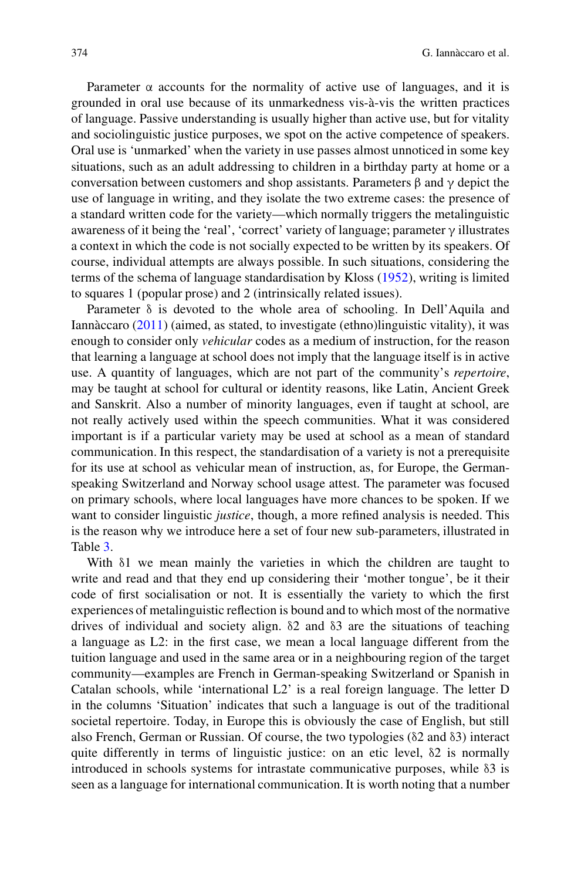Parameter  $\alpha$  accounts for the normality of active use of languages, and it is grounded in oral use because of its unmarkedness vis-à-vis the written practices of language. Passive understanding is usually higher than active use, but for vitality and sociolinguistic justice purposes, we spot on the active competence of speakers. Oral use is 'unmarked' when the variety in use passes almost unnoticed in some key situations, such as an adult addressing to children in a birthday party at home or a conversation between customers and shop assistants. Parameters β and γ depict the use of language in writing, and they isolate the two extreme cases: the presence of a standard written code for the variety—which normally triggers the metalinguistic awareness of it being the 'real', 'correct' variety of language; parameter  $\gamma$  illustrates a context in which the code is not socially expected to be written by its speakers. Of course, individual attempts are always possible. In such situations, considering the terms of the schema of language standardisation by Kloss (1952), writing is limited to squares 1 (popular prose) and 2 (intrinsically related issues).

Parameter δ is devoted to the whole area of schooling. In Dell'Aquila and Iannàccaro (2011) (aimed, as stated, to investigate (ethno)linguistic vitality), it was enough to consider only *vehicular* codes as a medium of instruction, for the reason that learning a language at school does not imply that the language itself is in active use. A quantity of languages, which are not part of the community's *repertoire*, may be taught at school for cultural or identity reasons, like Latin, Ancient Greek and Sanskrit. Also a number of minority languages, even if taught at school, are not really actively used within the speech communities. What it was considered important is if a particular variety may be used at school as a mean of standard communication. In this respect, the standardisation of a variety is not a prerequisite for its use at school as vehicular mean of instruction, as, for Europe, the Germanspeaking Switzerland and Norway school usage attest. The parameter was focused on primary schools, where local languages have more chances to be spoken. If we want to consider linguistic *justice*, though, a more refined analysis is needed. This is the reason why we introduce here a set of four new sub-parameters, illustrated in Table 3.

With δ1 we mean mainly the varieties in which the children are taught to write and read and that they end up considering their 'mother tongue', be it their code of first socialisation or not. It is essentially the variety to which the first experiences of metalinguistic reflection is bound and to which most of the normative drives of individual and society align. δ2 and δ3 are the situations of teaching a language as L2: in the first case, we mean a local language different from the tuition language and used in the same area or in a neighbouring region of the target community—examples are French in German-speaking Switzerland or Spanish in Catalan schools, while 'international L2' is a real foreign language. The letter D in the columns 'Situation' indicates that such a language is out of the traditional societal repertoire. Today, in Europe this is obviously the case of English, but still also French, German or Russian. Of course, the two typologies (δ2 and δ3) interact quite differently in terms of linguistic justice: on an etic level,  $\delta$ 2 is normally introduced in schools systems for intrastate communicative purposes, while δ3 is seen as a language for international communication. It is worth noting that a number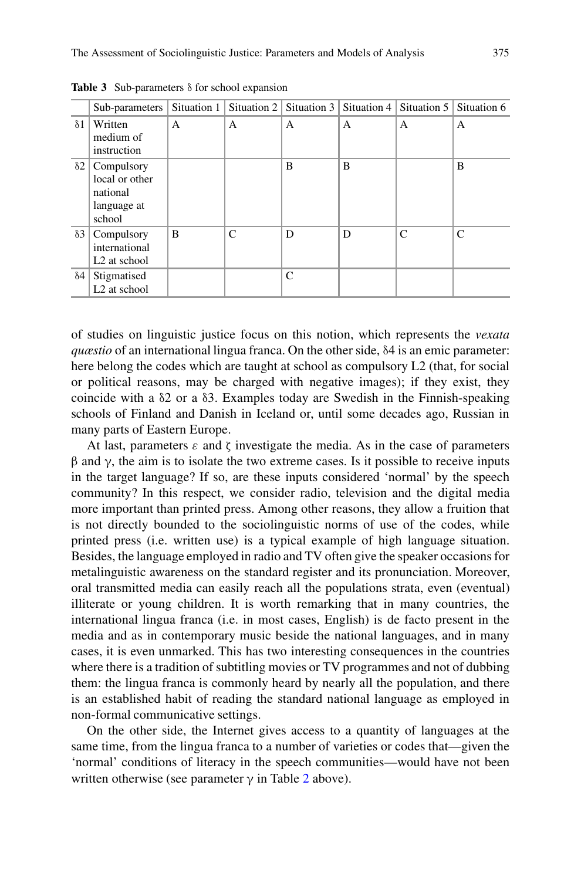|            | Sub-parameters                                                    | Situation 1 | Situation 2   | Situation 3 | Situation 4 | Situation 5 | Situation 6 |
|------------|-------------------------------------------------------------------|-------------|---------------|-------------|-------------|-------------|-------------|
| $\delta$ 1 | Written<br>medium of<br>instruction                               | A           | A             | A           | A           | A           | A           |
| $\delta$ 2 | Compulsory<br>local or other<br>national<br>language at<br>school |             |               | B           | B           |             | B           |
| $\delta$ 3 | Compulsory<br>international<br>L <sub>2</sub> at school           | B           | $\mathcal{C}$ | D           | D           | C           | C           |
| $\delta$ 4 | Stigmatised<br>L <sub>2</sub> at school                           |             |               | C           |             |             |             |

**Table 3** Sub-parameters δ for school expansion

of studies on linguistic justice focus on this notion, which represents the *vexata quæstio* of an international lingua franca. On the other side, δ4 is an emic parameter: here belong the codes which are taught at school as compulsory L2 (that, for social or political reasons, may be charged with negative images); if they exist, they coincide with a δ2 or a δ3. Examples today are Swedish in the Finnish-speaking schools of Finland and Danish in Iceland or, until some decades ago, Russian in many parts of Eastern Europe.

At last, parameters  $\varepsilon$  and  $\zeta$  investigate the media. As in the case of parameters  $β$  and  $γ$ , the aim is to isolate the two extreme cases. Is it possible to receive inputs in the target language? If so, are these inputs considered 'normal' by the speech community? In this respect, we consider radio, television and the digital media more important than printed press. Among other reasons, they allow a fruition that is not directly bounded to the sociolinguistic norms of use of the codes, while printed press (i.e. written use) is a typical example of high language situation. Besides, the language employed in radio and TV often give the speaker occasions for metalinguistic awareness on the standard register and its pronunciation. Moreover, oral transmitted media can easily reach all the populations strata, even (eventual) illiterate or young children. It is worth remarking that in many countries, the international lingua franca (i.e. in most cases, English) is de facto present in the media and as in contemporary music beside the national languages, and in many cases, it is even unmarked. This has two interesting consequences in the countries where there is a tradition of subtitling movies or TV programmes and not of dubbing them: the lingua franca is commonly heard by nearly all the population, and there is an established habit of reading the standard national language as employed in non-formal communicative settings.

On the other side, the Internet gives access to a quantity of languages at the same time, from the lingua franca to a number of varieties or codes that—given the 'normal' conditions of literacy in the speech communities—would have not been written otherwise (see parameter  $\gamma$  in Table 2 above).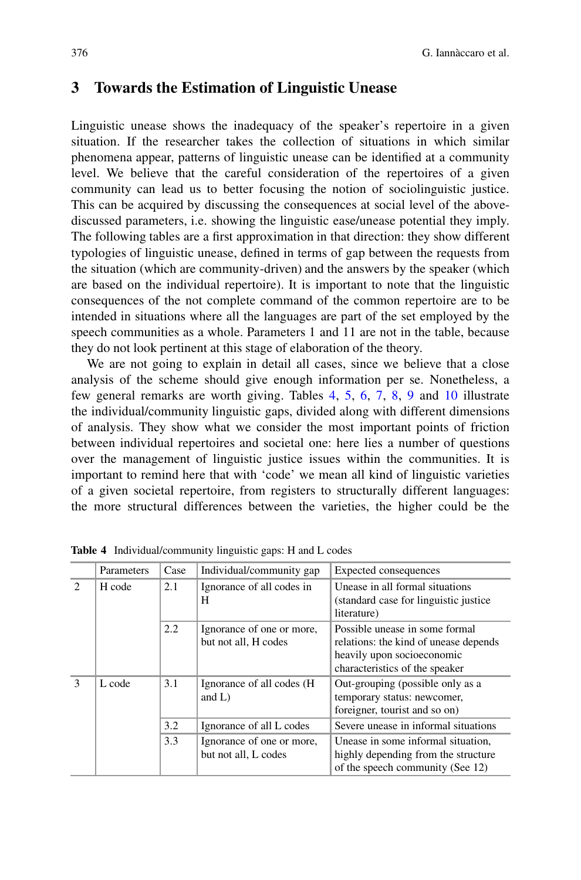#### **3 Towards the Estimation of Linguistic Unease**

Linguistic unease shows the inadequacy of the speaker's repertoire in a given situation. If the researcher takes the collection of situations in which similar phenomena appear, patterns of linguistic unease can be identified at a community level. We believe that the careful consideration of the repertoires of a given community can lead us to better focusing the notion of sociolinguistic justice. This can be acquired by discussing the consequences at social level of the abovediscussed parameters, i.e. showing the linguistic ease/unease potential they imply. The following tables are a first approximation in that direction: they show different typologies of linguistic unease, defined in terms of gap between the requests from the situation (which are community-driven) and the answers by the speaker (which are based on the individual repertoire). It is important to note that the linguistic consequences of the not complete command of the common repertoire are to be intended in situations where all the languages are part of the set employed by the speech communities as a whole. Parameters 1 and 11 are not in the table, because they do not look pertinent at this stage of elaboration of the theory.

We are not going to explain in detail all cases, since we believe that a close analysis of the scheme should give enough information per se. Nonetheless, a few general remarks are worth giving. Tables 4, 5, 6, 7, 8, 9 and 10 illustrate the individual/community linguistic gaps, divided along with different dimensions of analysis. They show what we consider the most important points of friction between individual repertoires and societal one: here lies a number of questions over the management of linguistic justice issues within the communities. It is important to remind here that with 'code' we mean all kind of linguistic varieties of a given societal repertoire, from registers to structurally different languages: the more structural differences between the varieties, the higher could be the

|               | Parameters | Case | Individual/community gap                          | Expected consequences                                                                                                                   |
|---------------|------------|------|---------------------------------------------------|-----------------------------------------------------------------------------------------------------------------------------------------|
| $\mathcal{D}$ | H code     | 2.1  | Ignorance of all codes in<br>H                    | Unease in all formal situations<br>(standard case for linguistic justice)<br>literature)                                                |
|               |            | 2.2  | Ignorance of one or more,<br>but not all, H codes | Possible unease in some formal<br>relations: the kind of unease depends<br>heavily upon socioeconomic<br>characteristics of the speaker |
| $\mathcal{R}$ | L code     | 3.1  | Ignorance of all codes (H)<br>and $L$ )           | Out-grouping (possible only as a<br>temporary status: newcomer,<br>foreigner, tourist and so on)                                        |
|               |            | 3.2  | Ignorance of all L codes                          | Severe unease in informal situations                                                                                                    |
|               |            | 3.3  | Ignorance of one or more,<br>but not all, L codes | Unease in some informal situation,<br>highly depending from the structure<br>of the speech community (See 12)                           |

**Table 4** Individual/community linguistic gaps: H and L codes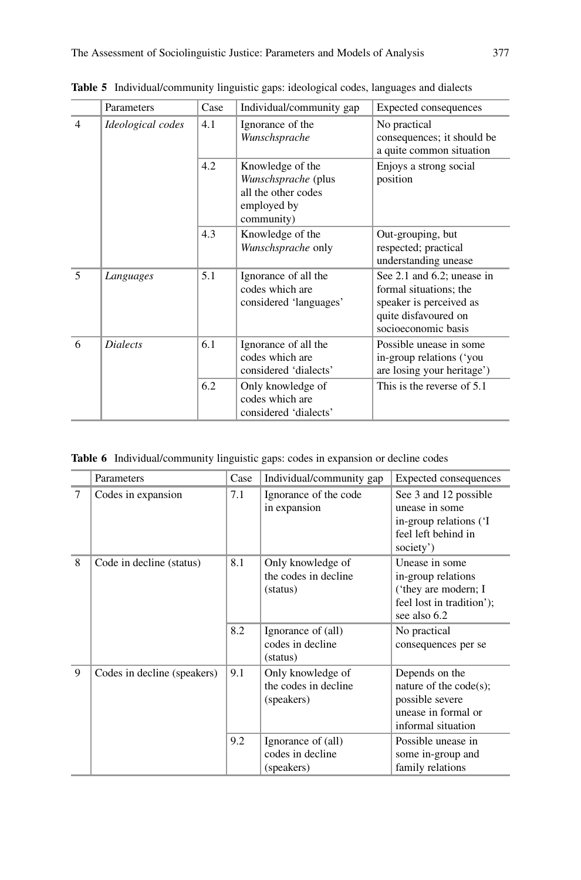|        | Parameters        | Case | Individual/community gap                                                                    | Expected consequences                                                                                                          |
|--------|-------------------|------|---------------------------------------------------------------------------------------------|--------------------------------------------------------------------------------------------------------------------------------|
| 4      | Ideological codes | 4.1  | Ignorance of the<br>Wunschsprache                                                           | No practical<br>consequences; it should be<br>a quite common situation                                                         |
|        |                   | 4.2  | Knowledge of the<br>Wunschsprache (plus<br>all the other codes<br>employed by<br>community) | Enjoys a strong social<br>position                                                                                             |
|        |                   | 4.3  | Knowledge of the<br>Wunschsprache only                                                      | Out-grouping, but<br>respected; practical<br>understanding unease                                                              |
| $\sim$ | Languages         | 5.1  | Ignorance of all the<br>codes which are<br>considered 'languages'                           | See 2.1 and 6.2; unease in<br>formal situations; the<br>speaker is perceived as<br>quite disfavoured on<br>socioeconomic basis |
| 6      | <b>Dialects</b>   | 6.1  | Ignorance of all the<br>codes which are<br>considered 'dialects'                            | Possible unease in some<br>in-group relations ('you<br>are losing your heritage')                                              |
|        |                   | 6.2  | Only knowledge of<br>codes which are<br>considered 'dialects'                               | This is the reverse of 5.1                                                                                                     |

**Table 5** Individual/community linguistic gaps: ideological codes, languages and dialects

|   | Parameters                  | Case | Individual/community gap                                | Expected consequences                                                                                       |
|---|-----------------------------|------|---------------------------------------------------------|-------------------------------------------------------------------------------------------------------------|
| 7 | Codes in expansion          | 7.1  | Ignorance of the code<br>in expansion                   | See 3 and 12 possible<br>unease in some<br>in-group relations ('I<br>feel left behind in<br>society')       |
| 8 | Code in decline (status)    | 8.1  | Only knowledge of<br>the codes in decline<br>(status)   | Unease in some<br>in-group relations<br>('they are modern; I<br>feel lost in tradition');<br>see also 6.2   |
|   |                             | 8.2  | Ignorance of (all)<br>codes in decline<br>(status)      | No practical<br>consequences per se                                                                         |
| 9 | Codes in decline (speakers) | 9.1  | Only knowledge of<br>the codes in decline<br>(speakers) | Depends on the<br>nature of the $code(s)$ ;<br>possible severe<br>unease in formal or<br>informal situation |
|   |                             | 9.2  | Ignorance of (all)<br>codes in decline<br>(speakers)    | Possible unease in<br>some in-group and<br>family relations                                                 |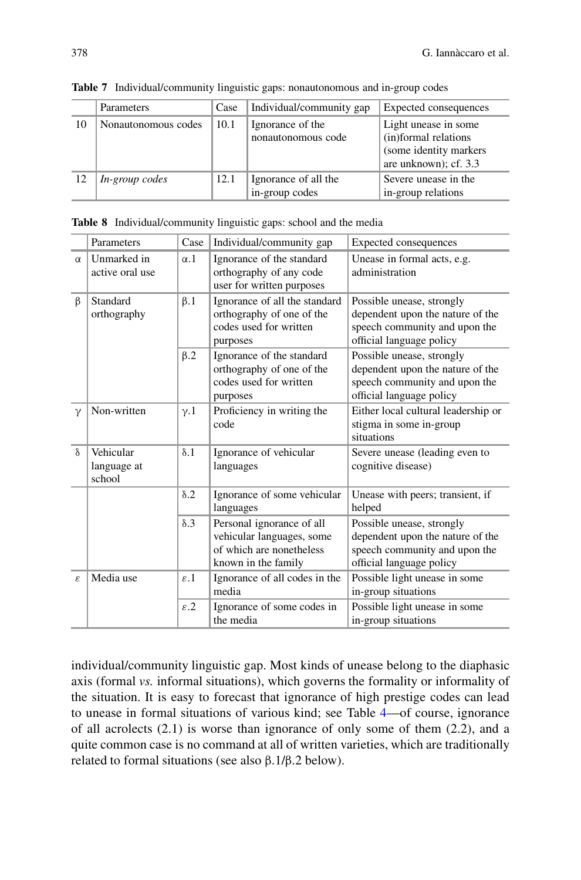|    | Parameters          | Case | Individual/community gap               | Expected consequences                                                                            |
|----|---------------------|------|----------------------------------------|--------------------------------------------------------------------------------------------------|
| 10 | Nonautonomous codes | 10.1 | Ignorance of the<br>nonautonomous code | Light unease in some<br>(in)formal relations<br>(some identity markers)<br>are unknown); cf. 3.3 |
|    | In-group codes      | 12.1 | Ignorance of all the<br>in-group codes | Severe unease in the<br>in-group relations                                                       |

**Table 7** Individual/community linguistic gaps: nonautonomous and in-group codes

|  | <b>Table 8</b> Individual/community linguistic gaps: school and the media |  |  |
|--|---------------------------------------------------------------------------|--|--|
|--|---------------------------------------------------------------------------|--|--|

|                             | Parameters                         | Case            | Individual/community gap                                                                                  | <b>Expected consequences</b>                                                                                               |
|-----------------------------|------------------------------------|-----------------|-----------------------------------------------------------------------------------------------------------|----------------------------------------------------------------------------------------------------------------------------|
| $\alpha$                    | Unmarked in<br>active oral use     | $\alpha$ . 1    | Ignorance of the standard<br>orthography of any code<br>user for written purposes                         | Unease in formal acts, e.g.<br>administration                                                                              |
| β                           | Standard<br>orthography            | $\beta$ .1      | Ignorance of all the standard<br>orthography of one of the<br>codes used for written<br>purposes          | Possible unease, strongly<br>dependent upon the nature of the<br>speech community and upon the<br>official language policy |
|                             |                                    | $\beta$ .2      | Ignorance of the standard<br>orthography of one of the<br>codes used for written<br>purposes              | Possible unease, strongly<br>dependent upon the nature of the<br>speech community and upon the<br>official language policy |
| γ                           | Non-written                        | $\gamma.1$      | Proficiency in writing the<br>code                                                                        | Either local cultural leadership or<br>stigma in some in-group<br>situations                                               |
| $\delta$                    | Vehicular<br>language at<br>school | $\delta$ .1     | Ignorance of vehicular<br>languages                                                                       | Severe unease (leading even to<br>cognitive disease)                                                                       |
|                             |                                    | $\delta$ .2     | Ignorance of some vehicular<br>languages                                                                  | Unease with peers; transient, if<br>helped                                                                                 |
|                             |                                    | $\delta$ .3     | Personal ignorance of all<br>vehicular languages, some<br>of which are nonetheless<br>known in the family | Possible unease, strongly<br>dependent upon the nature of the<br>speech community and upon the<br>official language policy |
| $\mathcal{E}_{\mathcal{E}}$ | Media use                          | $\varepsilon.1$ | Ignorance of all codes in the<br>media                                                                    | Possible light unease in some<br>in-group situations                                                                       |
|                             |                                    | $\epsilon$ .2   | Ignorance of some codes in<br>the media                                                                   | Possible light unease in some<br>in-group situations                                                                       |

individual/community linguistic gap. Most kinds of unease belong to the diaphasic axis (formal *vs.* informal situations), which governs the formality or informality of the situation. It is easy to forecast that ignorance of high prestige codes can lead to unease in formal situations of various kind; see Table 4—of course, ignorance of all acrolects (2.1) is worse than ignorance of only some of them (2.2), and a quite common case is no command at all of written varieties, which are traditionally related to formal situations (see also β.1/β.2 below).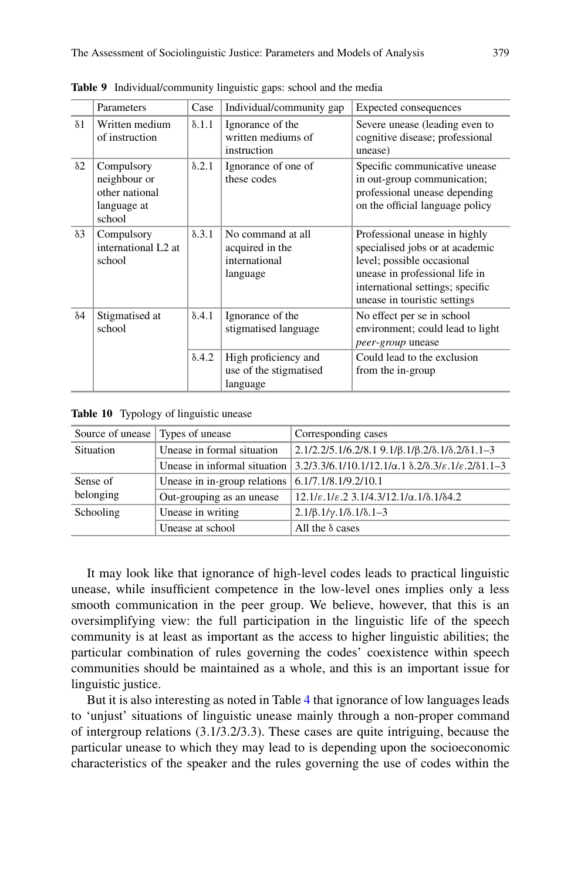|                       | Parameters                                                            | Case          | Individual/community gap                                          | Expected consequences                                                                                                                                                                                |
|-----------------------|-----------------------------------------------------------------------|---------------|-------------------------------------------------------------------|------------------------------------------------------------------------------------------------------------------------------------------------------------------------------------------------------|
| $\delta$ 1            | Written medium<br>of instruction                                      | $\delta$ .1.1 | Ignorance of the<br>written mediums of<br>instruction             | Severe unease (leading even to<br>cognitive disease; professional<br>unease)                                                                                                                         |
| $\delta$ <sub>2</sub> | Compulsory<br>neighbour or<br>other national<br>language at<br>school | $\delta$ .2.1 | Ignorance of one of<br>these codes                                | Specific communicative unease<br>in out-group communication;<br>professional unease depending<br>on the official language policy                                                                     |
| $\delta$ 3            | Compulsory<br>international L <sub>2</sub> at<br>school               | $\delta$ .3.1 | No command at all<br>acquired in the<br>international<br>language | Professional unease in highly<br>specialised jobs or at academic<br>level; possible occasional<br>unease in professional life in<br>international settings; specific<br>unease in touristic settings |
| $\delta$ 4            | Stigmatised at<br>school                                              | $\delta$ .4.1 | Ignorance of the<br>stigmatised language                          | No effect per se in school<br>environment; could lead to light<br><i>peer-group</i> unease                                                                                                           |
|                       |                                                                       | $\delta$ .4.2 | High proficiency and<br>use of the stigmatised<br>language        | Could lead to the exclusion<br>from the in-group                                                                                                                                                     |

**Table 9** Individual/community linguistic gaps: school and the media

**Table 10** Typology of linguistic unease

| Source of unease Types of unease |                              | Corresponding cases                                                                              |
|----------------------------------|------------------------------|--------------------------------------------------------------------------------------------------|
| <b>Situation</b>                 | Unease in formal situation   | $2.1/2.2/5.1/6.2/8.1$ $9.1/6.1/6.2/\delta.1/\delta.2/\delta1.1-3$                                |
|                                  | Unease in informal situation | $3.2/3.3/6.1/10.1/12.1/\alpha.1 \delta.2/\delta.3/\varepsilon.1/\varepsilon.2/\delta1.1-3$       |
| Sense of                         | Unease in in-group relations | 6.1/7.1/8.1/9.2/10.1                                                                             |
| belonging                        | Out-grouping as an unease    | $12.1/\epsilon$ , $1/\epsilon$ , $23.1/4$ , $3/12$ , $1/\alpha$ , $1/\delta$ , $1/\delta$ 4, $2$ |
| Schooling                        | Unease in writing            | $2.1/\beta.1/\gamma.1/\delta.1/\delta.1-3$                                                       |
|                                  | Unease at school             | All the $\delta$ cases                                                                           |

It may look like that ignorance of high-level codes leads to practical linguistic unease, while insufficient competence in the low-level ones implies only a less smooth communication in the peer group. We believe, however, that this is an oversimplifying view: the full participation in the linguistic life of the speech community is at least as important as the access to higher linguistic abilities; the particular combination of rules governing the codes' coexistence within speech communities should be maintained as a whole, and this is an important issue for linguistic justice.

But it is also interesting as noted in Table 4 that ignorance of low languages leads to 'unjust' situations of linguistic unease mainly through a non-proper command of intergroup relations (3.1/3.2/3.3). These cases are quite intriguing, because the particular unease to which they may lead to is depending upon the socioeconomic characteristics of the speaker and the rules governing the use of codes within the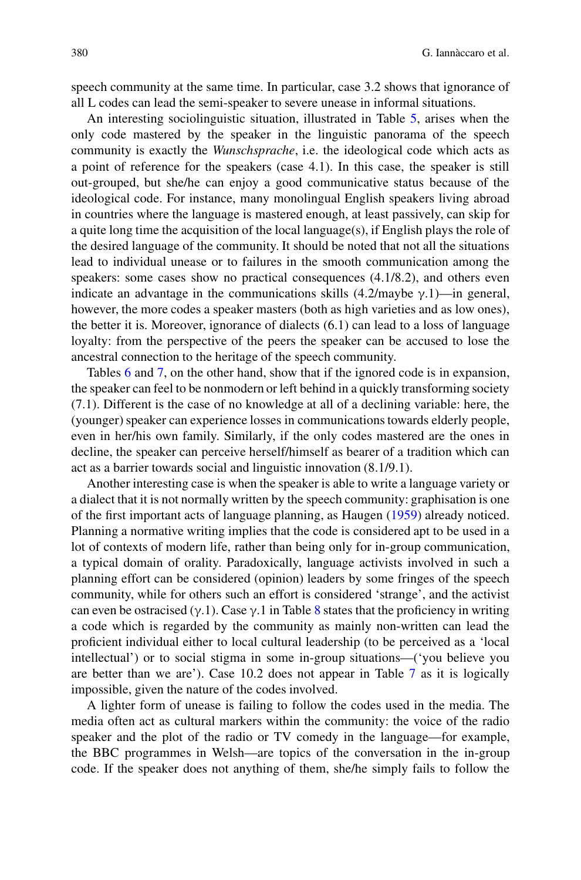speech community at the same time. In particular, case 3.2 shows that ignorance of all L codes can lead the semi-speaker to severe unease in informal situations.

An interesting sociolinguistic situation, illustrated in Table 5, arises when the only code mastered by the speaker in the linguistic panorama of the speech community is exactly the *Wunschsprache*, i.e. the ideological code which acts as a point of reference for the speakers (case 4.1). In this case, the speaker is still out-grouped, but she/he can enjoy a good communicative status because of the ideological code. For instance, many monolingual English speakers living abroad in countries where the language is mastered enough, at least passively, can skip for a quite long time the acquisition of the local language(s), if English plays the role of the desired language of the community. It should be noted that not all the situations lead to individual unease or to failures in the smooth communication among the speakers: some cases show no practical consequences (4.1/8.2), and others even indicate an advantage in the communications skills  $(4.2/m\alpha)$  = in general, however, the more codes a speaker masters (both as high varieties and as low ones), the better it is. Moreover, ignorance of dialects (6.1) can lead to a loss of language loyalty: from the perspective of the peers the speaker can be accused to lose the ancestral connection to the heritage of the speech community.

Tables 6 and 7, on the other hand, show that if the ignored code is in expansion, the speaker can feel to be nonmodern or left behind in a quickly transforming society (7.1). Different is the case of no knowledge at all of a declining variable: here, the (younger) speaker can experience losses in communications towards elderly people, even in her/his own family. Similarly, if the only codes mastered are the ones in decline, the speaker can perceive herself/himself as bearer of a tradition which can act as a barrier towards social and linguistic innovation (8.1/9.1).

Another interesting case is when the speaker is able to write a language variety or a dialect that it is not normally written by the speech community: graphisation is one of the first important acts of language planning, as Haugen (1959) already noticed. Planning a normative writing implies that the code is considered apt to be used in a lot of contexts of modern life, rather than being only for in-group communication, a typical domain of orality. Paradoxically, language activists involved in such a planning effort can be considered (opinion) leaders by some fringes of the speech community, while for others such an effort is considered 'strange', and the activist can even be ostracised ( $\gamma$ .1). Case  $\gamma$ .1 in Table 8 states that the proficiency in writing a code which is regarded by the community as mainly non-written can lead the proficient individual either to local cultural leadership (to be perceived as a 'local intellectual') or to social stigma in some in-group situations—('you believe you are better than we are'). Case 10.2 does not appear in Table 7 as it is logically impossible, given the nature of the codes involved.

A lighter form of unease is failing to follow the codes used in the media. The media often act as cultural markers within the community: the voice of the radio speaker and the plot of the radio or TV comedy in the language—for example, the BBC programmes in Welsh—are topics of the conversation in the in-group code. If the speaker does not anything of them, she/he simply fails to follow the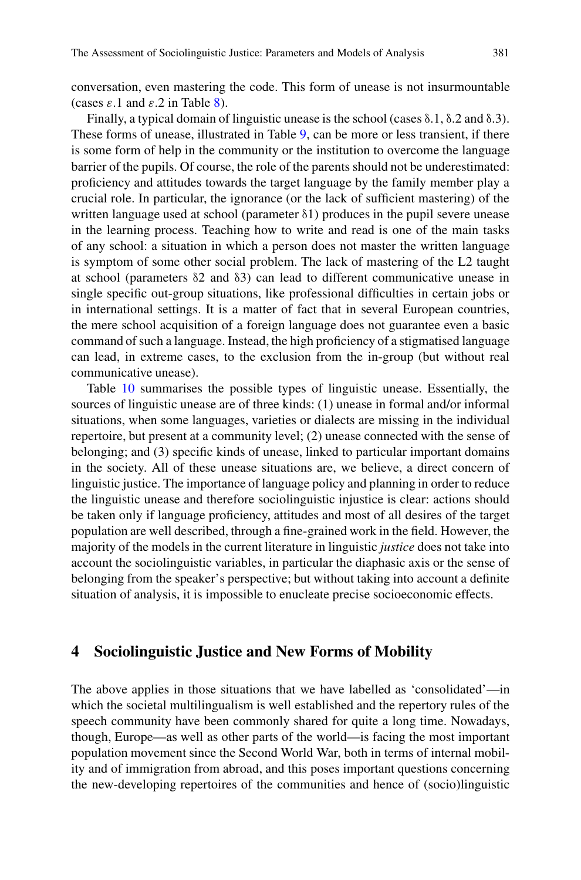conversation, even mastering the code. This form of unease is not insurmountable (cases *ε*.1 and *ε*.2 in Table 8).

Finally, a typical domain of linguistic unease is the school (cases  $\delta$ , 1,  $\delta$ , 2 and  $\delta$ , 3). These forms of unease, illustrated in Table 9, can be more or less transient, if there is some form of help in the community or the institution to overcome the language barrier of the pupils. Of course, the role of the parents should not be underestimated: proficiency and attitudes towards the target language by the family member play a crucial role. In particular, the ignorance (or the lack of sufficient mastering) of the written language used at school (parameter  $\delta$ 1) produces in the pupil severe unease in the learning process. Teaching how to write and read is one of the main tasks of any school: a situation in which a person does not master the written language is symptom of some other social problem. The lack of mastering of the L2 taught at school (parameters δ2 and δ3) can lead to different communicative unease in single specific out-group situations, like professional difficulties in certain jobs or in international settings. It is a matter of fact that in several European countries, the mere school acquisition of a foreign language does not guarantee even a basic command of such a language. Instead, the high proficiency of a stigmatised language can lead, in extreme cases, to the exclusion from the in-group (but without real communicative unease).

Table 10 summarises the possible types of linguistic unease. Essentially, the sources of linguistic unease are of three kinds: (1) unease in formal and/or informal situations, when some languages, varieties or dialects are missing in the individual repertoire, but present at a community level; (2) unease connected with the sense of belonging; and (3) specific kinds of unease, linked to particular important domains in the society. All of these unease situations are, we believe, a direct concern of linguistic justice. The importance of language policy and planning in order to reduce the linguistic unease and therefore sociolinguistic injustice is clear: actions should be taken only if language proficiency, attitudes and most of all desires of the target population are well described, through a fine-grained work in the field. However, the majority of the models in the current literature in linguistic *justice* does not take into account the sociolinguistic variables, in particular the diaphasic axis or the sense of belonging from the speaker's perspective; but without taking into account a definite situation of analysis, it is impossible to enucleate precise socioeconomic effects.

#### **4 Sociolinguistic Justice and New Forms of Mobility**

The above applies in those situations that we have labelled as 'consolidated'—in which the societal multilingualism is well established and the repertory rules of the speech community have been commonly shared for quite a long time. Nowadays, though, Europe—as well as other parts of the world—is facing the most important population movement since the Second World War, both in terms of internal mobility and of immigration from abroad, and this poses important questions concerning the new-developing repertoires of the communities and hence of (socio)linguistic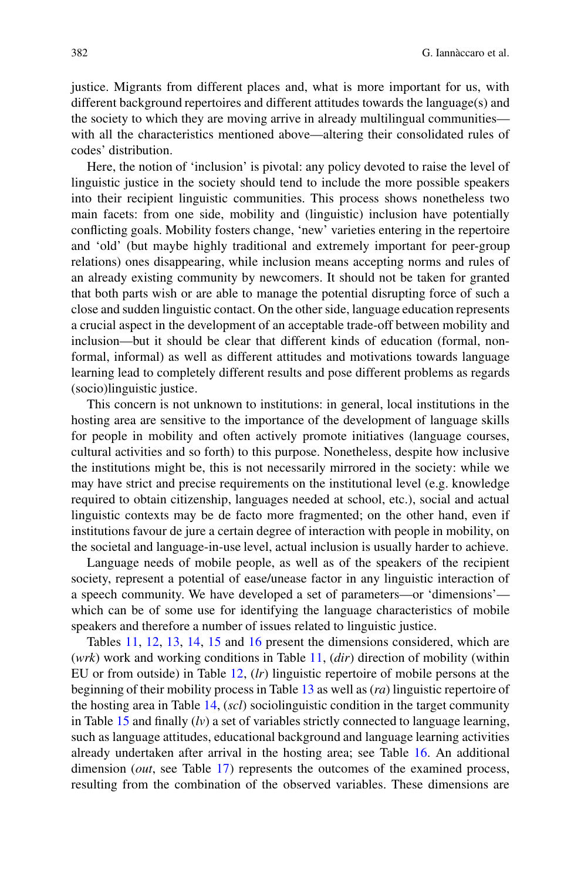justice. Migrants from different places and, what is more important for us, with different background repertoires and different attitudes towards the language(s) and the society to which they are moving arrive in already multilingual communities with all the characteristics mentioned above—altering their consolidated rules of codes' distribution.

Here, the notion of 'inclusion' is pivotal: any policy devoted to raise the level of linguistic justice in the society should tend to include the more possible speakers into their recipient linguistic communities. This process shows nonetheless two main facets: from one side, mobility and (linguistic) inclusion have potentially conflicting goals. Mobility fosters change, 'new' varieties entering in the repertoire and 'old' (but maybe highly traditional and extremely important for peer-group relations) ones disappearing, while inclusion means accepting norms and rules of an already existing community by newcomers. It should not be taken for granted that both parts wish or are able to manage the potential disrupting force of such a close and sudden linguistic contact. On the other side, language education represents a crucial aspect in the development of an acceptable trade-off between mobility and inclusion—but it should be clear that different kinds of education (formal, nonformal, informal) as well as different attitudes and motivations towards language learning lead to completely different results and pose different problems as regards (socio)linguistic justice.

This concern is not unknown to institutions: in general, local institutions in the hosting area are sensitive to the importance of the development of language skills for people in mobility and often actively promote initiatives (language courses, cultural activities and so forth) to this purpose. Nonetheless, despite how inclusive the institutions might be, this is not necessarily mirrored in the society: while we may have strict and precise requirements on the institutional level (e.g. knowledge required to obtain citizenship, languages needed at school, etc.), social and actual linguistic contexts may be de facto more fragmented; on the other hand, even if institutions favour de jure a certain degree of interaction with people in mobility, on the societal and language-in-use level, actual inclusion is usually harder to achieve.

Language needs of mobile people, as well as of the speakers of the recipient society, represent a potential of ease/unease factor in any linguistic interaction of a speech community. We have developed a set of parameters—or 'dimensions' which can be of some use for identifying the language characteristics of mobile speakers and therefore a number of issues related to linguistic justice.

Tables 11, 12, 13, 14, 15 and 16 present the dimensions considered, which are (*wrk*) work and working conditions in Table 11, (*dir*) direction of mobility (within EU or from outside) in Table 12, (*lr*) linguistic repertoire of mobile persons at the beginning of their mobility process in Table 13 as well as (*ra*) linguistic repertoire of the hosting area in Table 14, (*scl*) sociolinguistic condition in the target community in Table 15 and finally (*lv*) a set of variables strictly connected to language learning, such as language attitudes, educational background and language learning activities already undertaken after arrival in the hosting area; see Table 16. An additional dimension (*out*, see Table 17) represents the outcomes of the examined process, resulting from the combination of the observed variables. These dimensions are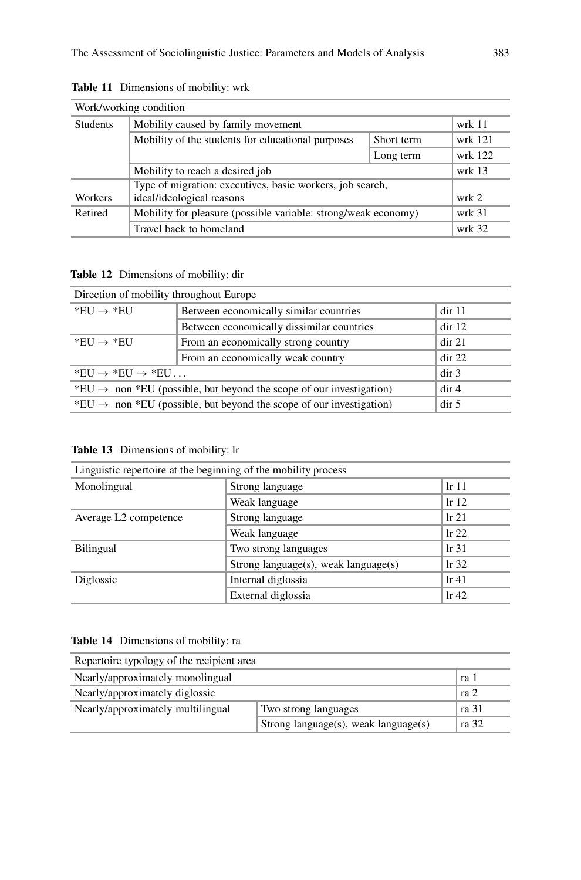|                 | Work/working condition                                                     |            |          |
|-----------------|----------------------------------------------------------------------------|------------|----------|
| <b>Students</b> | Mobility caused by family movement                                         |            | wrk 11   |
|                 | Mobility of the students for educational purposes                          | Short term | wrk 121  |
|                 |                                                                            | Long term  | wrk 122  |
|                 | Mobility to reach a desired job                                            |            | wrk $13$ |
|                 | Type of migration: executives, basic workers, job search,                  |            |          |
| <b>Workers</b>  | ideal/ideological reasons                                                  |            | wrk 2    |
| Retired         | Mobility for pleasure (possible variable: strong/weak economy)<br>wrk $31$ |            |          |
|                 | Travel back to homeland                                                    |            | wrk 32   |

**Table 11** Dimensions of mobility: wrk

**Table 12** Dimensions of mobility: dir

| Direction of mobility throughout Europe                                                               |                                           |                   |
|-------------------------------------------------------------------------------------------------------|-------------------------------------------|-------------------|
| $*$ EU $\rightarrow *$ EU                                                                             | Between economically similar countries    | dir 11            |
|                                                                                                       | Between economically dissimilar countries | dir <sub>12</sub> |
| $*$ EU $\rightarrow *$ EU                                                                             | From an economically strong country       | dir 21            |
|                                                                                                       | From an economically weak country         | dir 22            |
| dir <sub>3</sub><br>*EU → *EU → *EU                                                                   |                                           |                   |
| dir <sub>4</sub><br>$*EU \rightarrow$ non $*EU$ (possible, but beyond the scope of our investigation) |                                           |                   |
| *EU $\rightarrow$ non *EU (possible, but beyond the scope of our investigation)<br>dir <sub>5</sub>   |                                           |                   |

**Table 13** Dimensions of mobility: lr

| Linguistic repertoire at the beginning of the mobility process |                                             |                  |
|----------------------------------------------------------------|---------------------------------------------|------------------|
| Monolingual                                                    | Strong language                             | lr <sub>11</sub> |
|                                                                | Weak language                               | lr <sub>12</sub> |
| Average L <sub>2</sub> competence                              | Strong language                             | lr <sub>21</sub> |
|                                                                | Weak language                               | $\ln 22$         |
| <b>Bilingual</b>                                               | Two strong languages                        | lr <sub>31</sub> |
|                                                                | Strong language $(s)$ , weak language $(s)$ | lr 32            |
| Diglossic                                                      | Internal diglossia                          | lr41             |
|                                                                | External diglossia                          | lr42             |

| Repertoire typology of the recipient area |                                             |       |
|-------------------------------------------|---------------------------------------------|-------|
| Nearly/approximately monolingual          |                                             | ra 1  |
| Nearly/approximately diglossic            |                                             | ra 2  |
| Nearly/approximately multilingual         | Two strong languages                        | ra 31 |
|                                           | Strong language $(s)$ , weak language $(s)$ | ra 32 |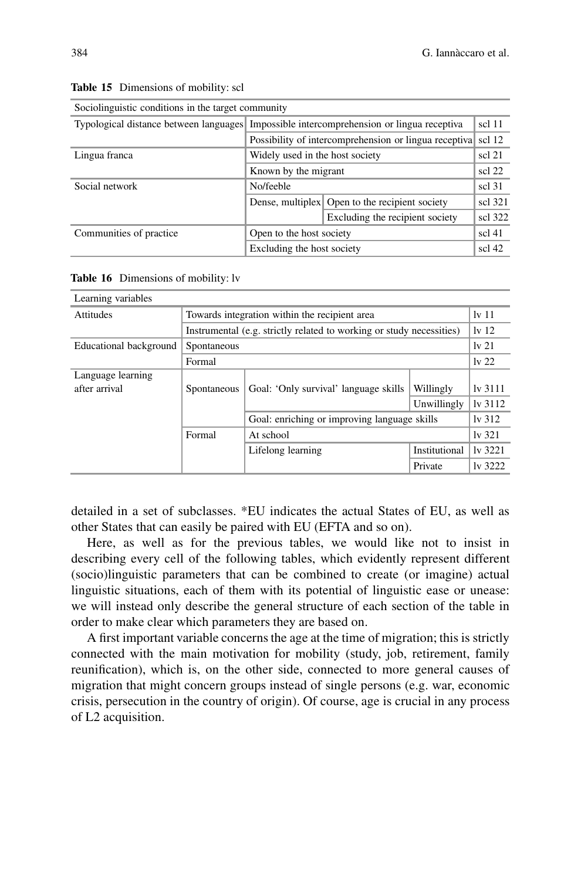| Sociolinguistic conditions in the target community |                                 |                                                       |                   |
|----------------------------------------------------|---------------------------------|-------------------------------------------------------|-------------------|
| Typological distance between languages             |                                 | Impossible intercomprehension or lingua receptiva     | scl 11            |
|                                                    |                                 | Possibility of intercomprehension or lingua receptiva | scl 12            |
| Lingua franca                                      | Widely used in the host society |                                                       | scl 21            |
|                                                    | Known by the migrant            |                                                       | scl 22            |
| Social network                                     | No/feeble                       |                                                       | scl <sub>31</sub> |
|                                                    |                                 | Dense, multiplex Open to the recipient society        | scl 321           |
|                                                    |                                 | Excluding the recipient society                       | scl 322           |
| Communities of practice                            | Open to the host society        |                                                       | scl 41            |
|                                                    | Excluding the host society      |                                                       | scl <sub>42</sub> |

|  |  | <b>Table 16</b> Dimensions of mobility: lv |  |
|--|--|--------------------------------------------|--|
|--|--|--------------------------------------------|--|

| Learning variables                 |                                               |                                                                      |                  |                  |
|------------------------------------|-----------------------------------------------|----------------------------------------------------------------------|------------------|------------------|
| Attitudes                          | Towards integration within the recipient area |                                                                      |                  | 1v <sub>11</sub> |
|                                    |                                               | Instrumental (e.g. strictly related to working or study necessities) |                  | 1v <sub>12</sub> |
| Educational background             | Spontaneous                                   |                                                                      | 1v <sub>21</sub> |                  |
|                                    | Formal                                        |                                                                      |                  | 1v <sub>22</sub> |
| Language learning<br>after arrival | Spontaneous                                   | Goal: 'Only survival' language skills                                | Willingly        | lv 3111          |
|                                    |                                               |                                                                      | Unwillingly      | $1v$ 3112        |
|                                    |                                               | Goal: enriching or improving language skills                         |                  | $1v$ 312         |
|                                    | Formal                                        | At school                                                            |                  | $1v$ 321         |
|                                    |                                               | Lifelong learning                                                    | Institutional    | ly 3221          |
|                                    |                                               |                                                                      | Private          | ly 3222          |

detailed in a set of subclasses. \*EU indicates the actual States of EU, as well as other States that can easily be paired with EU (EFTA and so on).

Here, as well as for the previous tables, we would like not to insist in describing every cell of the following tables, which evidently represent different (socio)linguistic parameters that can be combined to create (or imagine) actual linguistic situations, each of them with its potential of linguistic ease or unease: we will instead only describe the general structure of each section of the table in order to make clear which parameters they are based on.

A first important variable concerns the age at the time of migration; this is strictly connected with the main motivation for mobility (study, job, retirement, family reunification), which is, on the other side, connected to more general causes of migration that might concern groups instead of single persons (e.g. war, economic crisis, persecution in the country of origin). Of course, age is crucial in any process of L2 acquisition.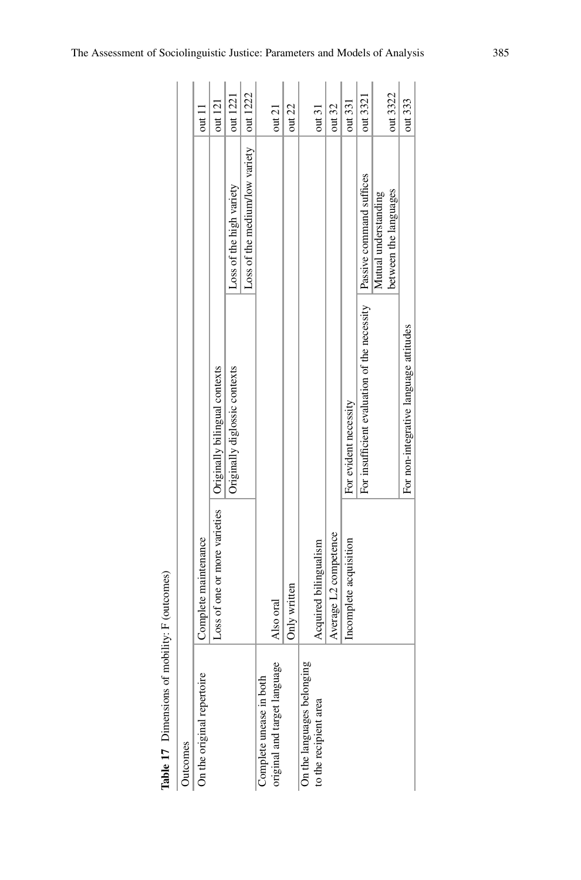| <b>Table 17</b> Dimensions of mobility: F (outcomes) |                        |                                                               |                                |              |
|------------------------------------------------------|------------------------|---------------------------------------------------------------|--------------------------------|--------------|
| Outcomes                                             |                        |                                                               |                                |              |
| On the original repertoire                           | Complete maintenance   |                                                               |                                | $\rm out~11$ |
|                                                      |                        | Loss of one or more varieties   Originally bilingual contexts |                                | out 121      |
|                                                      |                        | Originally diglossic contexts                                 | Loss of the high variety       | out 1221     |
|                                                      |                        |                                                               | Loss of the medium/low variety | out 1222     |
| Complete unease in both                              |                        |                                                               |                                |              |
| original and target language                         | Also oral              |                                                               |                                | out 21       |
|                                                      | Only written           |                                                               |                                | out 22       |
| On the languages belonging                           |                        |                                                               |                                |              |
| to the recipient area                                | Acquired bilingualism  |                                                               |                                | out 31       |
|                                                      | Average L2 competence  |                                                               |                                | out 32       |
|                                                      | Incomplete acquisition | For evident necessity                                         |                                | out 331      |
|                                                      |                        | For insufficient evaluation of the necessity                  | Passive command suffices       | $out$ 3321   |
|                                                      |                        |                                                               | Mutual understanding           |              |
|                                                      |                        |                                                               | between the languages          | out 3322     |
|                                                      |                        | For non-integrative language attitudes                        |                                | out 333      |
|                                                      |                        |                                                               |                                |              |

| I<br>I<br>l                                                                                                                                                                            |
|----------------------------------------------------------------------------------------------------------------------------------------------------------------------------------------|
|                                                                                                                                                                                        |
| i<br>I<br>١<br>í<br>l<br>í<br>$\overline{a}$<br>ׇ֚֕֡֡<br>í<br>l<br>in a bhliain an chuid an chuid an chuid an chuid an chuid an chuid an chuid an chuid an chuid an chuid an chui<br>ļ |
| ו<br>ו<br>۱<br>í<br>$\frac{1}{2}$                                                                                                                                                      |
|                                                                                                                                                                                        |
|                                                                                                                                                                                        |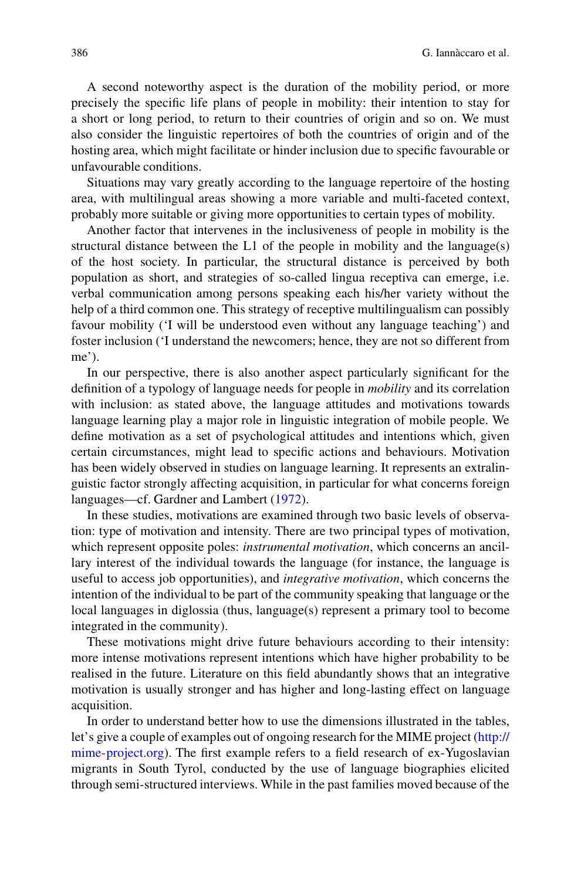A second noteworthy aspect is the duration of the mobility period, or more precisely the specific life plans of people in mobility: their intention to stay for a short or long period, to return to their countries of origin and so on. We must also consider the linguistic repertoires of both the countries of origin and of the hosting area, which might facilitate or hinder inclusion due to specific favourable or unfavourable conditions.

Situations may vary greatly according to the language repertoire of the hosting area, with multilingual areas showing a more variable and multi-faceted context, probably more suitable or giving more opportunities to certain types of mobility.

Another factor that intervenes in the inclusiveness of people in mobility is the structural distance between the L1 of the people in mobility and the language(s) of the host society. In particular, the structural distance is perceived by both population as short, and strategies of so-called lingua receptiva can emerge, i.e. verbal communication among persons speaking each his/her variety without the help of a third common one. This strategy of receptive multilingualism can possibly favour mobility ('I will be understood even without any language teaching') and foster inclusion ('I understand the newcomers; hence, they are not so different from me').

In our perspective, there is also another aspect particularly significant for the definition of a typology of language needs for people in *mobility* and its correlation with inclusion: as stated above, the language attitudes and motivations towards language learning play a major role in linguistic integration of mobile people. We define motivation as a set of psychological attitudes and intentions which, given certain circumstances, might lead to specific actions and behaviours. Motivation has been widely observed in studies on language learning. It represents an extralinguistic factor strongly affecting acquisition, in particular for what concerns foreign languages—cf. Gardner and Lambert (1972).

In these studies, motivations are examined through two basic levels of observation: type of motivation and intensity. There are two principal types of motivation, which represent opposite poles: *instrumental motivation*, which concerns an ancillary interest of the individual towards the language (for instance, the language is useful to access job opportunities), and *integrative motivation*, which concerns the intention of the individual to be part of the community speaking that language or the local languages in diglossia (thus, language(s) represent a primary tool to become integrated in the community).

These motivations might drive future behaviours according to their intensity: more intense motivations represent intentions which have higher probability to be realised in the future. Literature on this field abundantly shows that an integrative motivation is usually stronger and has higher and long-lasting effect on language acquisition.

In order to understand better how to use the dimensions illustrated in the tables, let's give a couple of examples out of ongoing research for the MIME project [\(http://](http://mime-project.org) [mime-project.org\)](http://mime-project.org). The first example refers to a field research of ex-Yugoslavian migrants in South Tyrol, conducted by the use of language biographies elicited through semi-structured interviews. While in the past families moved because of the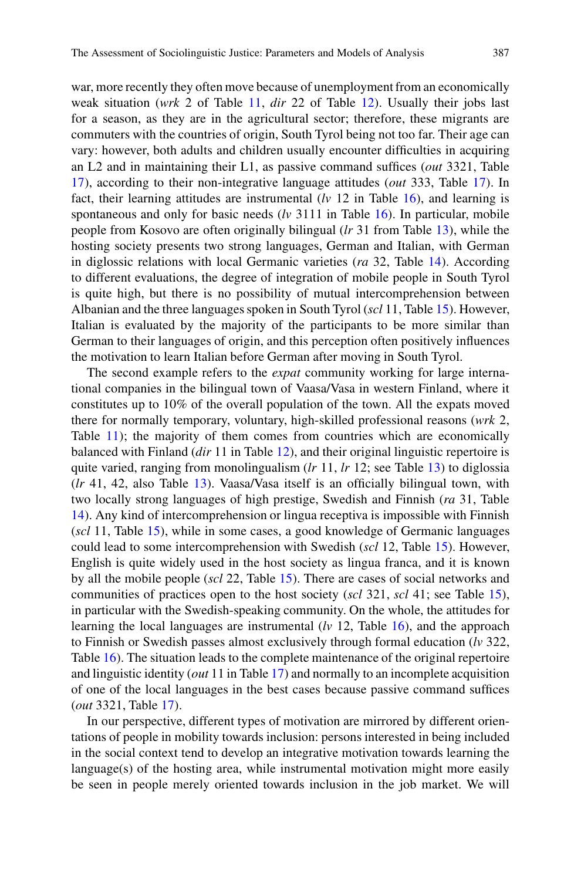war, more recently they often move because of unemployment from an economically weak situation (*wrk* 2 of Table 11, *dir* 22 of Table 12). Usually their jobs last for a season, as they are in the agricultural sector; therefore, these migrants are commuters with the countries of origin, South Tyrol being not too far. Their age can vary: however, both adults and children usually encounter difficulties in acquiring an L2 and in maintaining their L1, as passive command suffices (*out* 3321, Table 17), according to their non-integrative language attitudes (*out* 333, Table 17). In fact, their learning attitudes are instrumental (*lv* 12 in Table 16), and learning is spontaneous and only for basic needs (*lv* 3111 in Table 16). In particular, mobile people from Kosovo are often originally bilingual (*lr* 31 from Table 13), while the hosting society presents two strong languages, German and Italian, with German in diglossic relations with local Germanic varieties (*ra* 32, Table 14). According to different evaluations, the degree of integration of mobile people in South Tyrol is quite high, but there is no possibility of mutual intercomprehension between Albanian and the three languages spoken in South Tyrol (*scl* 11, Table 15). However, Italian is evaluated by the majority of the participants to be more similar than German to their languages of origin, and this perception often positively influences the motivation to learn Italian before German after moving in South Tyrol.

The second example refers to the *expat* community working for large international companies in the bilingual town of Vaasa/Vasa in western Finland, where it constitutes up to 10% of the overall population of the town. All the expats moved there for normally temporary, voluntary, high-skilled professional reasons (*wrk* 2, Table 11); the majority of them comes from countries which are economically balanced with Finland (*dir* 11 in Table 12), and their original linguistic repertoire is quite varied, ranging from monolingualism (*lr* 11, *lr* 12; see Table 13) to diglossia (*lr* 41, 42, also Table 13). Vaasa/Vasa itself is an officially bilingual town, with two locally strong languages of high prestige, Swedish and Finnish (*ra* 31, Table 14). Any kind of intercomprehension or lingua receptiva is impossible with Finnish (*scl* 11, Table 15), while in some cases, a good knowledge of Germanic languages could lead to some intercomprehension with Swedish (*scl* 12, Table 15). However, English is quite widely used in the host society as lingua franca, and it is known by all the mobile people (*scl* 22, Table 15). There are cases of social networks and communities of practices open to the host society (*scl* 321, *scl* 41; see Table 15), in particular with the Swedish-speaking community. On the whole, the attitudes for learning the local languages are instrumental (*lv* 12, Table 16), and the approach to Finnish or Swedish passes almost exclusively through formal education (*lv* 322, Table 16). The situation leads to the complete maintenance of the original repertoire and linguistic identity (*out* 11 in Table 17) and normally to an incomplete acquisition of one of the local languages in the best cases because passive command suffices (*out* 3321, Table 17).

In our perspective, different types of motivation are mirrored by different orientations of people in mobility towards inclusion: persons interested in being included in the social context tend to develop an integrative motivation towards learning the language(s) of the hosting area, while instrumental motivation might more easily be seen in people merely oriented towards inclusion in the job market. We will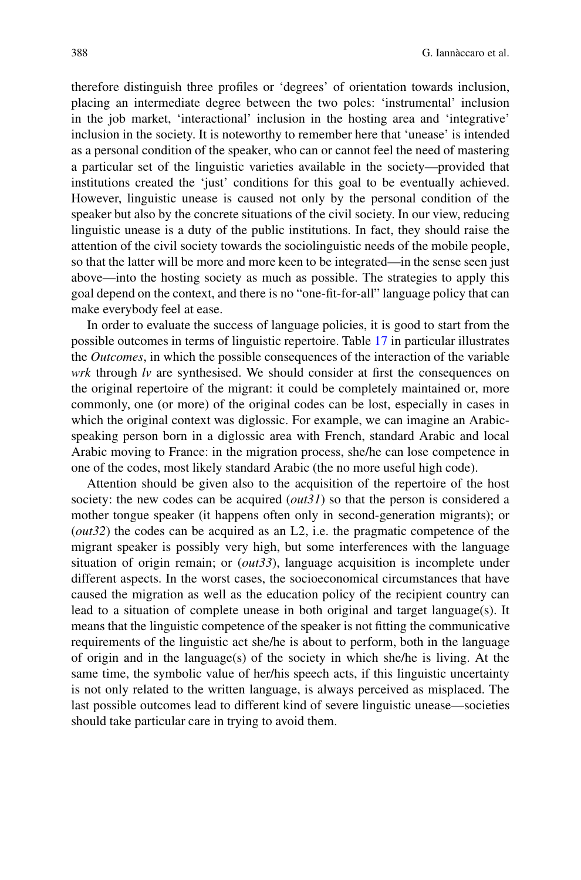therefore distinguish three profiles or 'degrees' of orientation towards inclusion, placing an intermediate degree between the two poles: 'instrumental' inclusion in the job market, 'interactional' inclusion in the hosting area and 'integrative' inclusion in the society. It is noteworthy to remember here that 'unease' is intended as a personal condition of the speaker, who can or cannot feel the need of mastering a particular set of the linguistic varieties available in the society—provided that institutions created the 'just' conditions for this goal to be eventually achieved. However, linguistic unease is caused not only by the personal condition of the speaker but also by the concrete situations of the civil society. In our view, reducing linguistic unease is a duty of the public institutions. In fact, they should raise the attention of the civil society towards the sociolinguistic needs of the mobile people, so that the latter will be more and more keen to be integrated—in the sense seen just above—into the hosting society as much as possible. The strategies to apply this goal depend on the context, and there is no "one-fit-for-all" language policy that can make everybody feel at ease.

In order to evaluate the success of language policies, it is good to start from the possible outcomes in terms of linguistic repertoire. Table 17 in particular illustrates the *Outcomes*, in which the possible consequences of the interaction of the variable *wrk* through *lv* are synthesised. We should consider at first the consequences on the original repertoire of the migrant: it could be completely maintained or, more commonly, one (or more) of the original codes can be lost, especially in cases in which the original context was diglossic. For example, we can imagine an Arabicspeaking person born in a diglossic area with French, standard Arabic and local Arabic moving to France: in the migration process, she/he can lose competence in one of the codes, most likely standard Arabic (the no more useful high code).

Attention should be given also to the acquisition of the repertoire of the host society: the new codes can be acquired (*out31*) so that the person is considered a mother tongue speaker (it happens often only in second-generation migrants); or (*out32*) the codes can be acquired as an L2, i.e. the pragmatic competence of the migrant speaker is possibly very high, but some interferences with the language situation of origin remain; or (*out33*), language acquisition is incomplete under different aspects. In the worst cases, the socioeconomical circumstances that have caused the migration as well as the education policy of the recipient country can lead to a situation of complete unease in both original and target language(s). It means that the linguistic competence of the speaker is not fitting the communicative requirements of the linguistic act she/he is about to perform, both in the language of origin and in the language(s) of the society in which she/he is living. At the same time, the symbolic value of her/his speech acts, if this linguistic uncertainty is not only related to the written language, is always perceived as misplaced. The last possible outcomes lead to different kind of severe linguistic unease—societies should take particular care in trying to avoid them.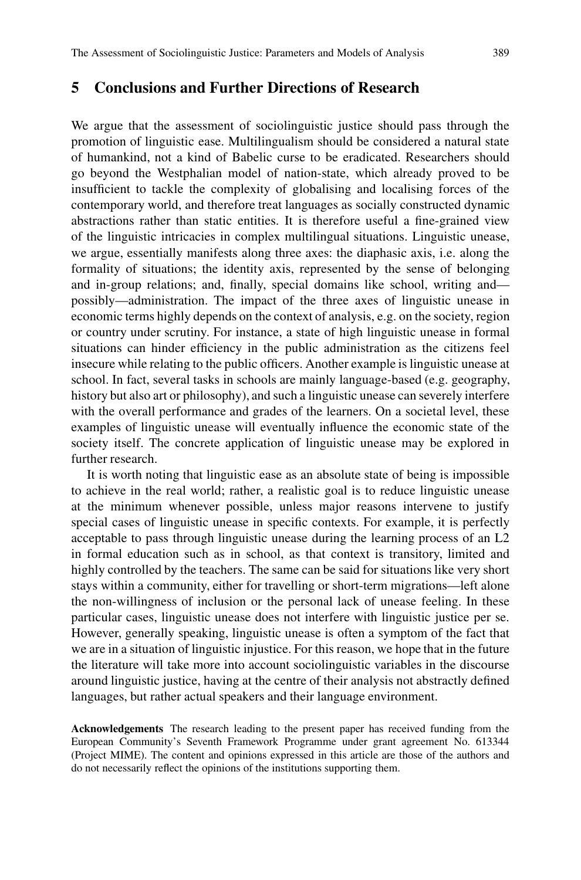#### **5 Conclusions and Further Directions of Research**

We argue that the assessment of sociolinguistic justice should pass through the promotion of linguistic ease. Multilingualism should be considered a natural state of humankind, not a kind of Babelic curse to be eradicated. Researchers should go beyond the Westphalian model of nation-state, which already proved to be insufficient to tackle the complexity of globalising and localising forces of the contemporary world, and therefore treat languages as socially constructed dynamic abstractions rather than static entities. It is therefore useful a fine-grained view of the linguistic intricacies in complex multilingual situations. Linguistic unease, we argue, essentially manifests along three axes: the diaphasic axis, i.e. along the formality of situations; the identity axis, represented by the sense of belonging and in-group relations; and, finally, special domains like school, writing and possibly—administration. The impact of the three axes of linguistic unease in economic terms highly depends on the context of analysis, e.g. on the society, region or country under scrutiny. For instance, a state of high linguistic unease in formal situations can hinder efficiency in the public administration as the citizens feel insecure while relating to the public officers. Another example is linguistic unease at school. In fact, several tasks in schools are mainly language-based (e.g. geography, history but also art or philosophy), and such a linguistic unease can severely interfere with the overall performance and grades of the learners. On a societal level, these examples of linguistic unease will eventually influence the economic state of the society itself. The concrete application of linguistic unease may be explored in further research.

It is worth noting that linguistic ease as an absolute state of being is impossible to achieve in the real world; rather, a realistic goal is to reduce linguistic unease at the minimum whenever possible, unless major reasons intervene to justify special cases of linguistic unease in specific contexts. For example, it is perfectly acceptable to pass through linguistic unease during the learning process of an L2 in formal education such as in school, as that context is transitory, limited and highly controlled by the teachers. The same can be said for situations like very short stays within a community, either for travelling or short-term migrations—left alone the non-willingness of inclusion or the personal lack of unease feeling. In these particular cases, linguistic unease does not interfere with linguistic justice per se. However, generally speaking, linguistic unease is often a symptom of the fact that we are in a situation of linguistic injustice. For this reason, we hope that in the future the literature will take more into account sociolinguistic variables in the discourse around linguistic justice, having at the centre of their analysis not abstractly defined languages, but rather actual speakers and their language environment.

**Acknowledgements** The research leading to the present paper has received funding from the European Community's Seventh Framework Programme under grant agreement No. 613344 (Project MIME). The content and opinions expressed in this article are those of the authors and do not necessarily reflect the opinions of the institutions supporting them.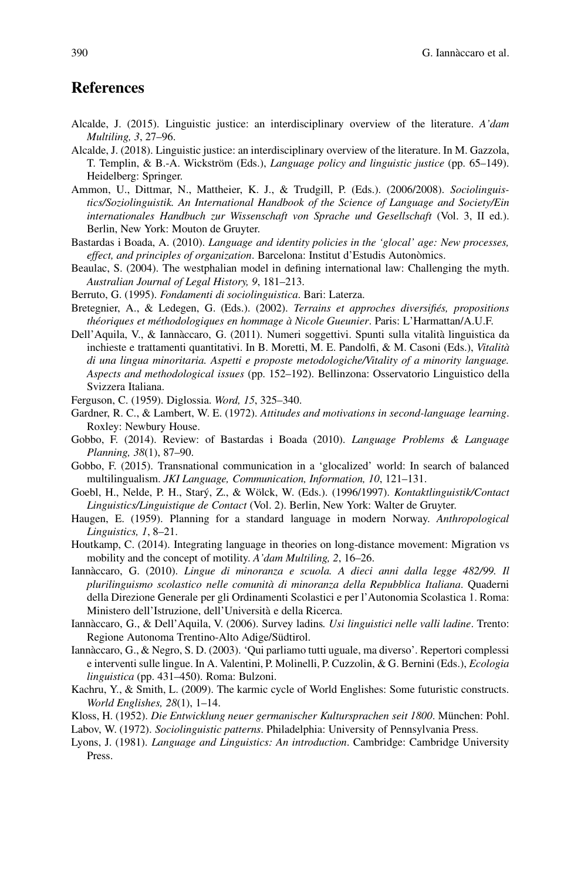#### **References**

- Alcalde, J. (2015). Linguistic justice: an interdisciplinary overview of the literature. *A'dam Multiling, 3*, 27–96.
- Alcalde, J. (2018). Linguistic justice: an interdisciplinary overview of the literature. In M. Gazzola, T. Templin, & B.-A. Wickström (Eds.), *Language policy and linguistic justice* (pp. 65–149). Heidelberg: Springer.
- Ammon, U., Dittmar, N., Mattheier, K. J., & Trudgill, P. (Eds.). (2006/2008). *Sociolinguistics/Soziolinguistik. An International Handbook of the Science of Language and Society/Ein internationales Handbuch zur Wissenschaft von Sprache und Gesellschaft* (Vol. 3, II ed.). Berlin, New York: Mouton de Gruyter.
- Bastardas i Boada, A. (2010). *Language and identity policies in the 'glocal' age: New processes, effect, and principles of organization*. Barcelona: Institut d'Estudis Autonòmics.
- Beaulac, S. (2004). The westphalian model in defining international law: Challenging the myth. *Australian Journal of Legal History, 9*, 181–213.
- Berruto, G. (1995). *Fondamenti di sociolinguistica*. Bari: Laterza.
- Bretegnier, A., & Ledegen, G. (Eds.). (2002). *Terrains et approches diversifiés, propositions théoriques et méthodologiques en hommage à Nicole Gueunier*. Paris: L'Harmattan/A.U.F.
- Dell'Aquila, V., & Iannàccaro, G. (2011). Numeri soggettivi. Spunti sulla vitalità linguistica da inchieste e trattamenti quantitativi. In B. Moretti, M. E. Pandolfi, & M. Casoni (Eds.), *Vitalità di una lingua minoritaria. Aspetti e proposte metodologiche/Vitality of a minority language. Aspects and methodological issues* (pp. 152–192). Bellinzona: Osservatorio Linguistico della Svizzera Italiana.
- Ferguson, C. (1959). Diglossia. *Word, 15*, 325–340.
- Gardner, R. C., & Lambert, W. E. (1972). *Attitudes and motivations in second-language learning*. Roxley: Newbury House.
- Gobbo, F. (2014). Review: of Bastardas i Boada (2010). *Language Problems & Language Planning, 38*(1), 87–90.
- Gobbo, F. (2015). Transnational communication in a 'glocalized' world: In search of balanced multilingualism. *JKI Language, Communication, Information, 10*, 121–131.
- Goebl, H., Nelde, P. H., Starý, Z., & Wölck, W. (Eds.). (1996/1997). *Kontaktlinguistik/Contact Linguistics/Linguistique de Contact* (Vol. 2). Berlin, New York: Walter de Gruyter.
- Haugen, E. (1959). Planning for a standard language in modern Norway. *Anthropological Linguistics, 1*, 8–21.
- Houtkamp, C. (2014). Integrating language in theories on long-distance movement: Migration vs mobility and the concept of motility. *A'dam Multiling, 2*, 16–26.
- Iannàccaro, G. (2010). *Lingue di minoranza e scuola. A dieci anni dalla legge 482/99. Il plurilinguismo scolastico nelle comunità di minoranza della Repubblica Italiana*. Quaderni della Direzione Generale per gli Ordinamenti Scolastici e per l'Autonomia Scolastica 1. Roma: Ministero dell'Istruzione, dell'Università e della Ricerca.
- Iannàccaro, G., & Dell'Aquila, V. (2006). Survey ladins*. Usi linguistici nelle valli ladine*. Trento: Regione Autonoma Trentino-Alto Adige/Südtirol.
- Iannàccaro, G., & Negro, S. D. (2003). 'Qui parliamo tutti uguale, ma diverso'. Repertori complessi e interventi sulle lingue. In A. Valentini, P. Molinelli, P. Cuzzolin, & G. Bernini (Eds.), *Ecologia linguistica* (pp. 431–450). Roma: Bulzoni.
- Kachru, Y., & Smith, L. (2009). The karmic cycle of World Englishes: Some futuristic constructs. *World Englishes, 28*(1), 1–14.
- Kloss, H. (1952). *Die Entwicklung neuer germanischer Kultursprachen seit 1800*. München: Pohl.
- Labov, W. (1972). *Sociolinguistic patterns*. Philadelphia: University of Pennsylvania Press.
- Lyons, J. (1981). *Language and Linguistics: An introduction*. Cambridge: Cambridge University Press.